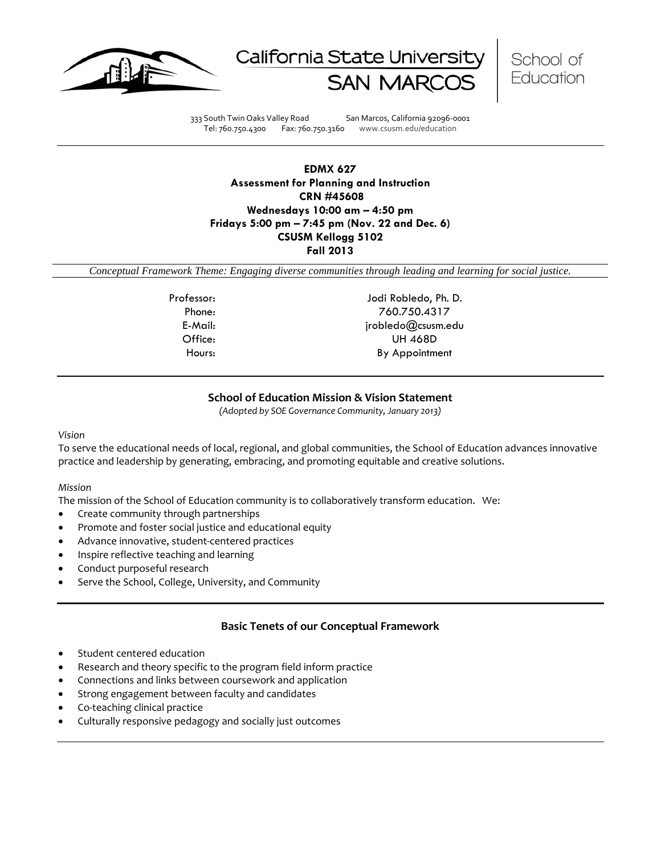





333 South Twin Oaks Valley Road San Marcos, California 92096-0001 Tel: 760.750.4300 Fax: 760.750.3160 www.csusm.edu/education

**EDMX 627 Assessment for Planning and Instruction CRN #45608 Wednesdays 10:00 am – 4:50 pm Fridays 5:00 pm – 7:45 pm (Nov. 22 and Dec. 6) CSUSM Kellogg 5102 Fall 2013** 

<span id="page-0-0"></span>*Conceptual Framework Theme: Engaging diverse communities through leading and learning for social justice.*

Professor: Jodi Robledo, Ph. D. Phone: 760.750.4317 E-Mail: jrobledo@csusm.edu Office: UH 468D Hours: By Appointment

# **School of Education Mission & Vision Statement**

*(Adopted by SOE Governance Community, January 2013)*

#### <span id="page-0-1"></span>*Vision*

To serve the educational needs of local, regional, and global communities, the School of Education advances innovative practice and leadership by generating, embracing, and promoting equitable and creative solutions.

#### *Mission*

The mission of the School of Education community is to collaboratively transform education. We:

- Create community through partnerships
- Promote and foster social justice and educational equity
- Advance innovative, student-centered practices
- Inspire reflective teaching and learning
- Conduct purposeful research
- Serve the School, College, University, and Community

# **Basic Tenets of our Conceptual Framework**

- <span id="page-0-2"></span>Student centered education
- Research and theory specific to the program field inform practice
- Connections and links between coursework and application
- Strong engagement between faculty and candidates
- Co-teaching clinical practice
- Culturally responsive pedagogy and socially just outcomes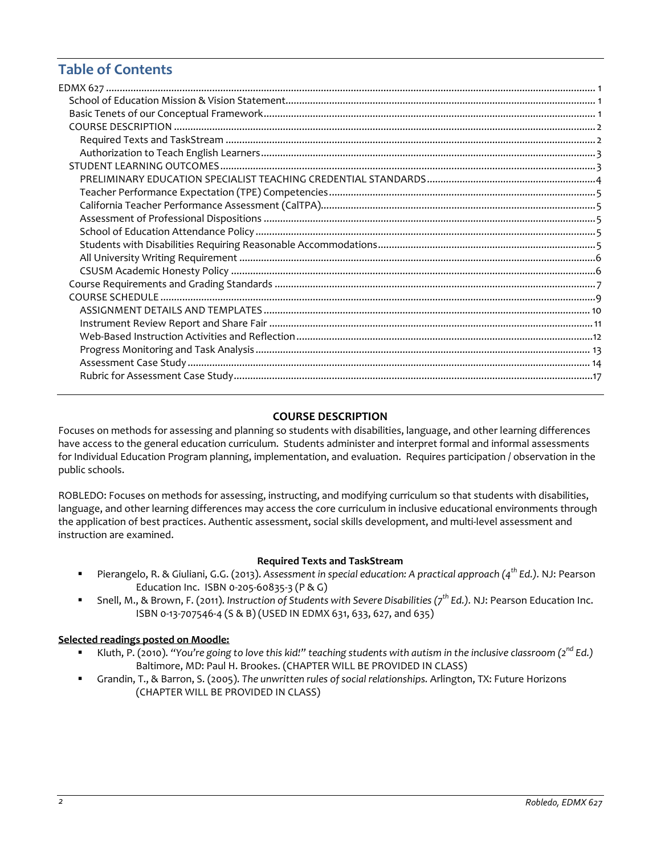# **Table of Contents**

# **COURSE DESCRIPTION**

<span id="page-1-0"></span>Focuses on methods for assessing and planning so students with disabilities, language, and other learning differences have access to the general education curriculum. Students administer and interpret formal and informal assessments for Individual Education Program planning, implementation, and evaluation. Requires participation / observation in the public schools.

ROBLEDO: Focuses on methods for assessing, instructing, and modifying curriculum so that students with disabilities, language, and other learning differences may access the core curriculum in inclusive educational environments through the application of best practices. Authentic assessment, social skills development, and multi-level assessment and instruction are examined.

## **Required Texts and TaskStream**

- <span id="page-1-1"></span> Pierangelo, R. & Giuliani, G.G. (2013). *Assessment in special education: A practical approach (4th Ed.).* NJ: Pearson Education Inc. ISBN 0-205-60835-3 (P & G)
- Snell, M., & Brown, F. (2011). *Instruction of Students with Severe Disabilities (7th Ed.).* NJ: Pearson Education Inc. ISBN 0-13-707546-4 (S & B) (USED IN EDMX 631, 633, 627, and 635)

## **Selected readings posted on Moodle:**

- Kluth, P. (2010). *"You're going to love this kid!" teaching students with autism in the inclusive classroom (2nd Ed.)* Baltimore, MD: Paul H. Brookes. (CHAPTER WILL BE PROVIDED IN CLASS)
- Grandin, T., & Barron, S. (2005). *The unwritten rules of social relationships.* Arlington, TX: Future Horizons (CHAPTER WILL BE PROVIDED IN CLASS)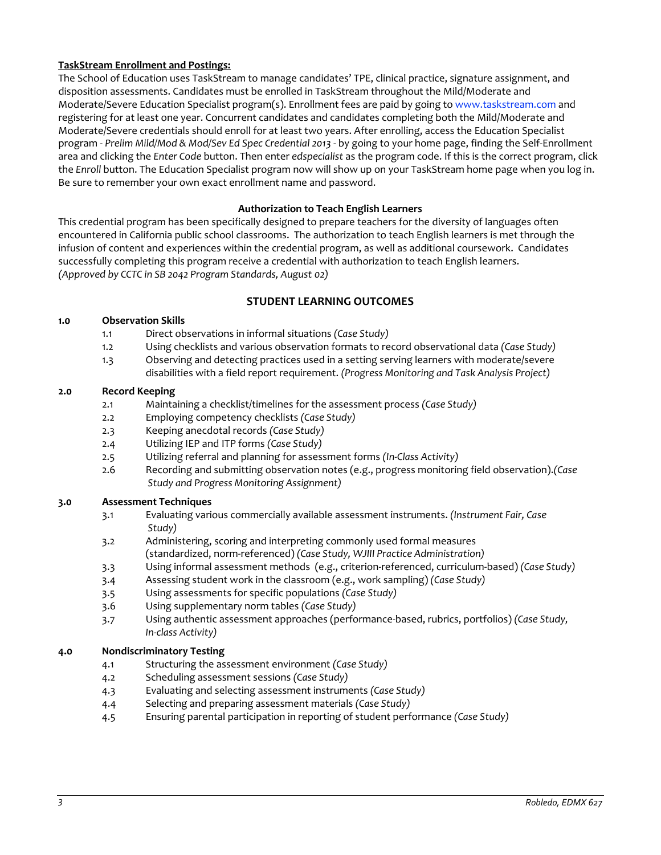# **TaskStream Enrollment and Postings:**

The School of Education uses TaskStream to manage candidates' TPE, clinical practice, signature assignment, and disposition assessments. Candidates must be enrolled in TaskStream throughout the Mild/Moderate and Moderate/Severe Education Specialist program(s). Enrollment fees are paid by going to [www.taskstream.com](http://www.taskstrem.com/) and registering for at least one year. Concurrent candidates and candidates completing both the Mild/Moderate and Moderate/Severe credentials should enroll for at least two years. After enrolling, access the Education Specialist program - *Prelim Mild/Mod & Mod/Sev Ed Spec Credential 2013* - by going to your home page, finding the Self-Enrollment area and clicking the *Enter Code* button. Then enter *edspecialist* as the program code. If this is the correct program, click the *Enroll* button. The Education Specialist program now will show up on your TaskStream home page when you log in. Be sure to remember your own exact enrollment name and password.

# **Authorization to Teach English Learners**

<span id="page-2-0"></span>This credential program has been specifically designed to prepare teachers for the diversity of languages often encountered in California public school classrooms. The authorization to teach English learners is met through the infusion of content and experiences within the credential program, as well as additional coursework. Candidates successfully completing this program receive a credential with authorization to teach English learners. *(Approved by CCTC in SB 2042 Program Standards, August 02)*

# **STUDENT LEARNING OUTCOMES**

## <span id="page-2-1"></span>**1.0 Observation Skills**

- 1.1 Direct observations in informal situations *(Case Study)*
- 1.2 Using checklists and various observation formats to record observational data *(Case Study)*
- 1.3 Observing and detecting practices used in a setting serving learners with moderate/severe disabilities with a field report requirement. *(Progress Monitoring and Task Analysis Project)*

#### **2.0 Record Keeping**

- 2.1 Maintaining a checklist/timelines for the assessment process *(Case Study)*
- 2.2 Employing competency checklists *(Case Study)*
- 2.3 Keeping anecdotal records *(Case Study)*
- 2.4 Utilizing IEP and ITP forms *(Case Study)*
- 2.5 Utilizing referral and planning for assessment forms *(In-Class Activity)*
- 2.6 Recording and submitting observation notes (e.g., progress monitoring field observation).*(Case Study and Progress Monitoring Assignment)*

## **3.0 Assessment Techniques**

- 3.1 Evaluating various commercially available assessment instruments. *(Instrument Fair, Case Study)*
- 3.2 Administering, scoring and interpreting commonly used formal measures (standardized, norm-referenced) *(Case Study, WJIII Practice Administration)*
- 3.3 Using informal assessment methods (e.g., criterion-referenced, curriculum-based) *(Case Study)*
- 3.4 Assessing student work in the classroom (e.g., work sampling) *(Case Study)*
- 3.5 Using assessments for specific populations *(Case Study)*
- 3.6 Using supplementary norm tables *(Case Study)*
- 3.7 Using authentic assessment approaches (performance-based, rubrics, portfolios) *(Case Study, In-class Activity)*

## **4.0 Nondiscriminatory Testing**

- 4.1 Structuring the assessment environment *(Case Study)*
- 4.2 Scheduling assessment sessions *(Case Study)*
- 4.3 Evaluating and selecting assessment instruments *(Case Study)*
- 4.4 Selecting and preparing assessment materials *(Case Study)*
- 4.5 Ensuring parental participation in reporting of student performance *(Case Study)*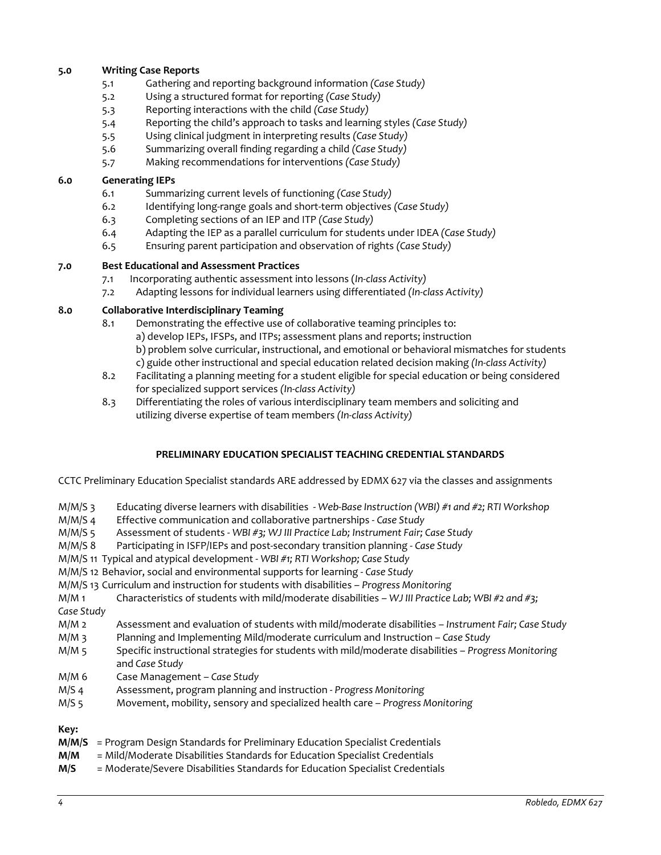# **5.0 Writing Case Reports**

- 5.1 Gathering and reporting background information *(Case Study)*
- 5.2 Using a structured format for reporting *(Case Study)*
- 5.3 Reporting interactions with the child *(Case Study)*
- 5.4 Reporting the child's approach to tasks and learning styles *(Case Study)*
- 5.5 Using clinical judgment in interpreting results *(Case Study)*
- 5.6 Summarizing overall finding regarding a child *(Case Study)*
- 5.7 Making recommendations for interventions *(Case Study)*

## **6.0 Generating IEPs**

- 6.1 Summarizing current levels of functioning *(Case Study)*
- 6.2 Identifying long-range goals and short-term objectives *(Case Study)*
- 6.3 Completing sections of an IEP and ITP *(Case Study)*
- 6.4 Adapting the IEP as a parallel curriculum for students under IDEA *(Case Study)*
- 6.5 Ensuring parent participation and observation of rights *(Case Study)*

# **7.0 Best Educational and Assessment Practices**

- 7.1 Incorporating authentic assessment into lessons (*In-class Activity)*
- 7.2 Adapting lessons for individual learners using differentiated *(In-class Activity)*

# **8.0 Collaborative Interdisciplinary Teaming**

- 8.1 Demonstrating the effective use of collaborative teaming principles to: a) develop IEPs, IFSPs, and ITPs; assessment plans and reports; instruction b) problem solve curricular, instructional, and emotional or behavioral mismatches for students c) guide other instructional and special education related decision making *(In-class Activity)*
- 8.2 Facilitating a planning meeting for a student eligible for special education or being considered for specialized support services *(In-class Activity)*
- 8.3 Differentiating the roles of various interdisciplinary team members and soliciting and utilizing diverse expertise of team members *(In-class Activity)*

## **PRELIMINARY EDUCATION SPECIALIST TEACHING CREDENTIAL STANDARDS**

<span id="page-3-0"></span>CCTC Preliminary Education Specialist standards ARE addressed by EDMX 627 via the classes and assignments

- M/M/S 3 Educating diverse learners with disabilities *Web-Base Instruction (WBI) #1 and #2; RTI Workshop*
- M/M/S 4 Effective communication and collaborative partnerships *Case Study*
- M/M/S 5 Assessment of students *WBI #3; WJ III Practice Lab; Instrument Fair; Case Study*
- M/M/S 8 Participating in ISFP/IEPs and post-secondary transition planning *Case Study*

M/M/S 11 Typical and atypical development - *WBI #1; RTI Workshop; Case Study*

- M/M/S 12 Behavior, social and environmental supports for learning *Case Study*
- M/M/S 13 Curriculum and instruction for students with disabilities *Progress Monitoring*

M/M 1 Characteristics of students with mild/moderate disabilities – *WJ III Practice Lab; WBI #2 and #3; Case Study* 

- M/M 2 Assessment and evaluation of students with mild/moderate disabilities *Instrument Fair; Case Study*
- M/M 3 Planning and Implementing Mild/moderate curriculum and Instruction *Case Study*
- M/M 5 Specific instructional strategies for students with mild/moderate disabilities *Progress Monitoring* and *Case Study*
- M/M 6 Case Management *Case Study*
- M/S 4 Assessment, program planning and instruction *Progress Monitoring*
- M/S 5 Movement, mobility, sensory and specialized health care *Progress Monitoring*

## **Key:**

- **M/M/S** = Program Design Standards for Preliminary Education Specialist Credentials
- **M/M** = Mild/Moderate Disabilities Standards for Education Specialist Credentials
- **M/S** = Moderate/Severe Disabilities Standards for Education Specialist Credentials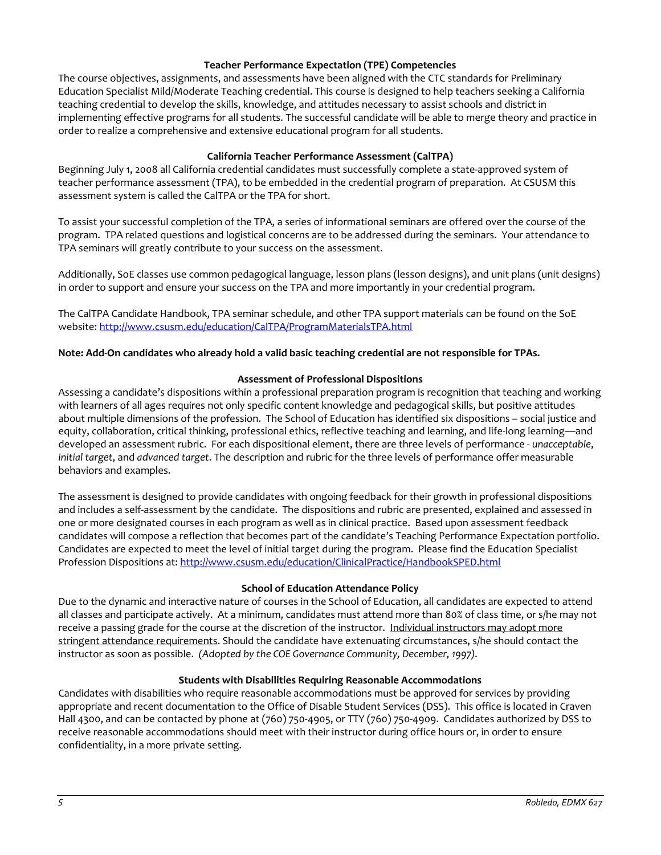# **Teacher Performance Expectation (TPE) Competencies**

<span id="page-4-0"></span>The course objectives, assignments, and assessments have been aligned with the CTC standards for Preliminary Education Specialist Mild/Moderate Teaching credential. This course is designed to help teachers seeking a California teaching credential to develop the skills, knowledge, and attitudes necessary to assist schools and district in implementing effective programs for all students. The successful candidate will be able to merge theory and practice in order to realize a comprehensive and extensive educational program for all students.

# **California Teacher Performance Assessment (CalTPA)**

<span id="page-4-1"></span>Beginning July 1, 2008 all California credential candidates must successfully complete a state-approved system of teacher performance assessment (TPA), to be embedded in the credential program of preparation. At CSUSM this assessment system is called the CalTPA or the TPA for short.

To assist your successful completion of the TPA, a series of informational seminars are offered over the course of the program. TPA related questions and logistical concerns are to be addressed during the seminars. Your attendance to TPA seminars will greatly contribute to your success on the assessment.

Additionally, SoE classes use common pedagogical language, lesson plans (lesson designs), and unit plans (unit designs) in order to support and ensure your success on the TPA and more importantly in your credential program.

The CalTPA Candidate Handbook, TPA seminar schedule, and other TPA support materials can be found on the SoE website: <http://www.csusm.edu/education/CalTPA/ProgramMaterialsTPA.html>

# **Note: Add-On candidates who already hold a valid basic teaching credential are not responsible for TPAs.**

## **Assessment of Professional Dispositions**

<span id="page-4-2"></span>Assessing a candidate's dispositions within a professional preparation program is recognition that teaching and working with learners of all ages requires not only specific content knowledge and pedagogical skills, but positive attitudes about multiple dimensions of the profession. The School of Education has identified six dispositions – social justice and equity, collaboration, critical thinking, professional ethics, reflective teaching and learning, and life-long learning—and developed an assessment rubric. For each dispositional element, there are three levels of performance - *unacceptable*, *initial target*, and *advanced target*. The description and rubric for the three levels of performance offer measurable behaviors and examples.

The assessment is designed to provide candidates with ongoing feedback for their growth in professional dispositions and includes a self-assessment by the candidate. The dispositions and rubric are presented, explained and assessed in one or more designated courses in each program as well as in clinical practice. Based upon assessment feedback candidates will compose a reflection that becomes part of the candidate's Teaching Performance Expectation portfolio. Candidates are expected to meet the level of initial target during the program. Please find the Education Specialist Profession Dispositions at:<http://www.csusm.edu/education/ClinicalPractice/HandbookSPED.html>

## **School of Education Attendance Policy**

<span id="page-4-3"></span>Due to the dynamic and interactive nature of courses in the School of Education, all candidates are expected to attend all classes and participate actively. At a minimum, candidates must attend more than 80% of class time, or s/he may not receive a passing grade for the course at the discretion of the instructor. Individual instructors may adopt more stringent attendance requirements. Should the candidate have extenuating circumstances, s/he should contact the instructor as soon as possible. *(Adopted by the COE Governance Community, December, 1997).*

## **Students with Disabilities Requiring Reasonable Accommodations**

<span id="page-4-5"></span><span id="page-4-4"></span>Candidates with disabilities who require reasonable accommodations must be approved for services by providing appropriate and recent documentation to the Office of Disable Student Services (DSS). This office is located in Craven Hall 4300, and can be contacted by phone at (760) 750-4905, or TTY (760) 750-4909. Candidates authorized by DSS to receive reasonable accommodations should meet with their instructor during office hours or, in order to ensure confidentiality, in a more private setting.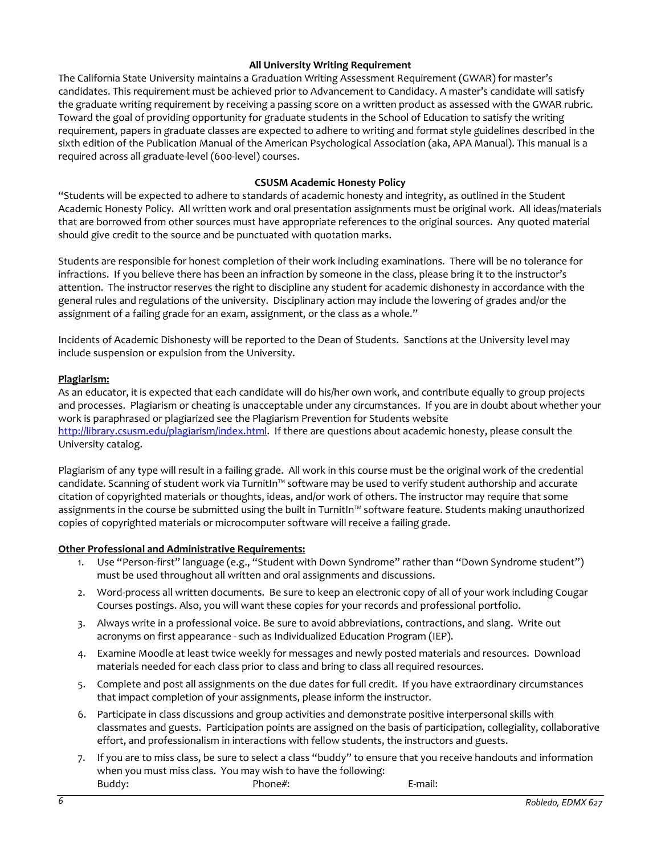# **All University Writing Requirement**

The California State University maintains a Graduation Writing Assessment Requirement (GWAR) for master's candidates. This requirement must be achieved prior to Advancement to Candidacy. A master's candidate will satisfy the graduate writing requirement by receiving a passing score on a written product as assessed with the GWAR rubric. Toward the goal of providing opportunity for graduate students in the School of Education to satisfy the writing requirement, papers in graduate classes are expected to adhere to writing and format style guidelines described in the sixth edition of the Publication Manual of the American Psychological Association (aka, APA Manual). This manual is a required across all graduate-level (600-level) courses.

# **CSUSM Academic Honesty Policy**

<span id="page-5-0"></span>"Students will be expected to adhere to standards of academic honesty and integrity, as outlined in the Student Academic Honesty Policy. All written work and oral presentation assignments must be original work. All ideas/materials that are borrowed from other sources must have appropriate references to the original sources. Any quoted material should give credit to the source and be punctuated with quotation marks.

Students are responsible for honest completion of their work including examinations. There will be no tolerance for infractions. If you believe there has been an infraction by someone in the class, please bring it to the instructor's attention. The instructor reserves the right to discipline any student for academic dishonesty in accordance with the general rules and regulations of the university. Disciplinary action may include the lowering of grades and/or the assignment of a failing grade for an exam, assignment, or the class as a whole."

Incidents of Academic Dishonesty will be reported to the Dean of Students. Sanctions at the University level may include suspension or expulsion from the University.

## **Plagiarism:**

As an educator, it is expected that each candidate will do his/her own work, and contribute equally to group projects and processes. Plagiarism or cheating is unacceptable under any circumstances. If you are in doubt about whether your work is paraphrased or plagiarized see the Plagiarism Prevention for Students website [http://library.csusm.edu/plagiarism/index.html.](http://library.csusm.edu/plagiarism/index.html) If there are questions about academic honesty, please consult the University catalog.

Plagiarism of any type will result in a failing grade. All work in this course must be the original work of the credential candidate. Scanning of student work via TurnitIn™ software may be used to verify student authorship and accurate citation of copyrighted materials or thoughts, ideas, and/or work of others. The instructor may require that some assignments in the course be submitted using the built in TurnitIn™ software feature. Students making unauthorized copies of copyrighted materials or microcomputer software will receive a failing grade.

## **Other Professional and Administrative Requirements:**

- 1. Use "Person-first" language (e.g., "Student with Down Syndrome" rather than "Down Syndrome student") must be used throughout all written and oral assignments and discussions.
- 2. Word-process all written documents. Be sure to keep an electronic copy of all of your work including Cougar Courses postings. Also, you will want these copies for your records and professional portfolio.
- 3. Always write in a professional voice. Be sure to avoid abbreviations, contractions, and slang. Write out acronyms on first appearance - such as Individualized Education Program (IEP).
- 4. Examine Moodle at least twice weekly for messages and newly posted materials and resources. Download materials needed for each class prior to class and bring to class all required resources.
- 5. Complete and post all assignments on the due dates for full credit. If you have extraordinary circumstances that impact completion of your assignments, please inform the instructor.
- 6. Participate in class discussions and group activities and demonstrate positive interpersonal skills with classmates and guests. Participation points are assigned on the basis of participation, collegiality, collaborative effort, and professionalism in interactions with fellow students, the instructors and guests.
- 7. If you are to miss class, be sure to select a class "buddy" to ensure that you receive handouts and information when you must miss class. You may wish to have the following: Buddy: E-mail: Phone#: Phone Phone E-mail: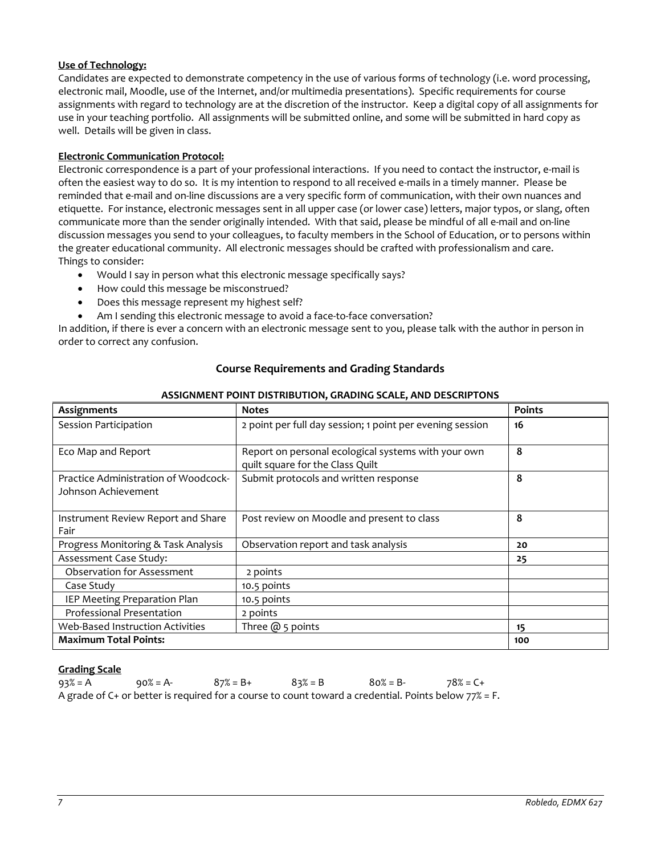# **Use of Technology:**

Candidates are expected to demonstrate competency in the use of various forms of technology (i.e. word processing, electronic mail, Moodle, use of the Internet, and/or multimedia presentations). Specific requirements for course assignments with regard to technology are at the discretion of the instructor. Keep a digital copy of all assignments for use in your teaching portfolio. All assignments will be submitted online, and some will be submitted in hard copy as well. Details will be given in class.

# **Electronic Communication Protocol:**

Electronic correspondence is a part of your professional interactions. If you need to contact the instructor, e-mail is often the easiest way to do so. It is my intention to respond to all received e-mails in a timely manner. Please be reminded that e-mail and on-line discussions are a very specific form of communication, with their own nuances and etiquette. For instance, electronic messages sent in all upper case (or lower case) letters, major typos, or slang, often communicate more than the sender originally intended. With that said, please be mindful of all e-mail and on-line discussion messages you send to your colleagues, to faculty members in the School of Education, or to persons within the greater educational community. All electronic messages should be crafted with professionalism and care. Things to consider:

- Would I say in person what this electronic message specifically says?
- How could this message be misconstrued?
- Does this message represent my highest self?
- Am I sending this electronic message to avoid a face-to-face conversation?

<span id="page-6-0"></span>In addition, if there is ever a concern with an electronic message sent to you, please talk with the author in person in order to correct any confusion.

| <b>Course Requirements and Grading Standards</b> |  |
|--------------------------------------------------|--|
|                                                  |  |

| Assignments                                                 | <b>Notes</b>                                                                            | <b>Points</b> |
|-------------------------------------------------------------|-----------------------------------------------------------------------------------------|---------------|
| Session Participation                                       | 2 point per full day session; 1 point per evening session                               | 16            |
| Eco Map and Report                                          | Report on personal ecological systems with your own<br>quilt square for the Class Quilt | 8             |
| Practice Administration of Woodcock-<br>Johnson Achievement | Submit protocols and written response                                                   | 8             |
| Instrument Review Report and Share<br>Fair                  | Post review on Moodle and present to class                                              | 8             |
| Progress Monitoring & Task Analysis                         | Observation report and task analysis                                                    | 20            |
| Assessment Case Study:                                      |                                                                                         | 25            |
| <b>Observation for Assessment</b>                           | 2 points                                                                                |               |
| Case Study                                                  | 10.5 points                                                                             |               |
| IEP Meeting Preparation Plan                                | 10.5 points                                                                             |               |
| <b>Professional Presentation</b>                            | 2 points                                                                                |               |
| <b>Web-Based Instruction Activities</b>                     | Three $@$ 5 points                                                                      | 15            |
| <b>Maximum Total Points:</b>                                |                                                                                         | 100           |

# **ASSIGNMENT POINT DISTRIBUTION, GRADING SCALE, AND DESCRIPTONS**

## **Grading Scale**

| $93\% = A$ | $90\% = A$ - | $87\% = B +$ | $83\% = B$ | $80\% = B$ -                                                                                            | 78% = C+ |
|------------|--------------|--------------|------------|---------------------------------------------------------------------------------------------------------|----------|
|            |              |              |            | A grade of C+ or better is required for a course to count toward a credential. Points below $77\%$ = F. |          |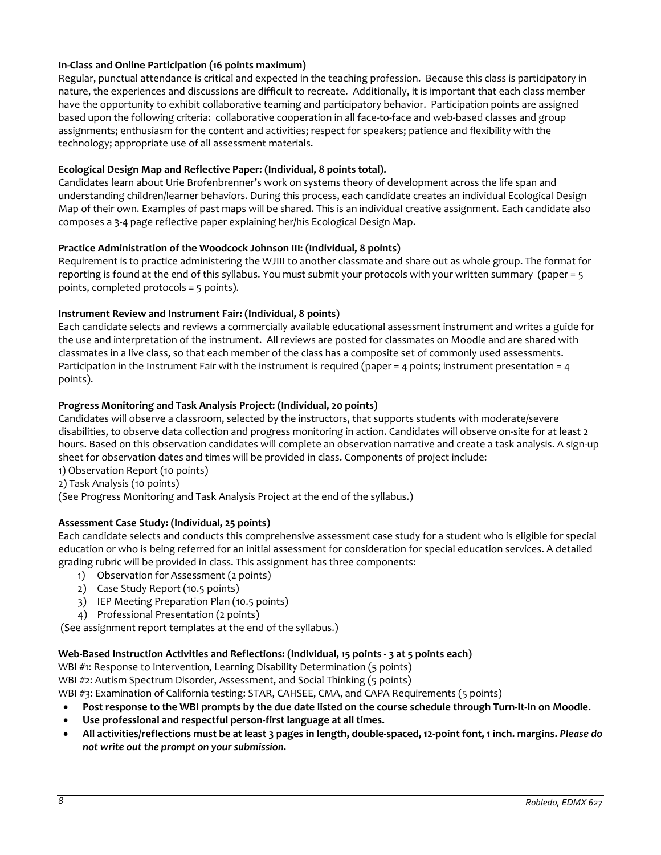# **In-Class and Online Participation (16 points maximum)**

Regular, punctual attendance is critical and expected in the teaching profession. Because this class is participatory in nature, the experiences and discussions are difficult to recreate. Additionally, it is important that each class member have the opportunity to exhibit collaborative teaming and participatory behavior. Participation points are assigned based upon the following criteria: collaborative cooperation in all face-to-face and web-based classes and group assignments; enthusiasm for the content and activities; respect for speakers; patience and flexibility with the technology; appropriate use of all assessment materials.

# **Ecological Design Map and Reflective Paper: (Individual, 8 points total).**

Candidates learn about Urie Brofenbrenner's work on systems theory of development across the life span and understanding children/learner behaviors. During this process, each candidate creates an individual Ecological Design Map of their own. Examples of past maps will be shared. This is an individual creative assignment. Each candidate also composes a 3-4 page reflective paper explaining her/his Ecological Design Map.

## **Practice Administration of the Woodcock Johnson III: (Individual, 8 points)**

Requirement is to practice administering the WJIII to another classmate and share out as whole group. The format for reporting is found at the end of this syllabus. You must submit your protocols with your written summary (paper = 5 points, completed protocols = 5 points).

# **Instrument Review and Instrument Fair: (Individual, 8 points)**

Each candidate selects and reviews a commercially available educational assessment instrument and writes a guide for the use and interpretation of the instrument. All reviews are posted for classmates on Moodle and are shared with classmates in a live class, so that each member of the class has a composite set of commonly used assessments. Participation in the Instrument Fair with the instrument is required (paper = 4 points; instrument presentation = 4 points).

# **Progress Monitoring and Task Analysis Project: (Individual, 20 points)**

Candidates will observe a classroom, selected by the instructors, that supports students with moderate/severe disabilities, to observe data collection and progress monitoring in action. Candidates will observe on-site for at least 2 hours. Based on this observation candidates will complete an observation narrative and create a task analysis. A sign-up sheet for observation dates and times will be provided in class. Components of project include:

1) Observation Report (10 points)

2) Task Analysis (10 points)

(See Progress Monitoring and Task Analysis Project at the end of the syllabus.)

# **Assessment Case Study: (Individual, 25 points)**

Each candidate selects and conducts this comprehensive assessment case study for a student who is eligible for special education or who is being referred for an initial assessment for consideration for special education services. A detailed grading rubric will be provided in class. This assignment has three components:

- 1) Observation for Assessment (2 points)
- 2) Case Study Report (10.5 points)
- 3) IEP Meeting Preparation Plan (10.5 points)
- 4) Professional Presentation (2 points)

(See assignment report templates at the end of the syllabus.)

## **Web-Based Instruction Activities and Reflections: (Individual, 15 points - 3 at 5 points each)**

WBI #1: Response to Intervention, Learning Disability Determination (5 points)

WBI #2: Autism Spectrum Disorder, Assessment, and Social Thinking (5 points)

WBI #3: Examination of California testing: STAR, CAHSEE, CMA, and CAPA Requirements (5 points)

- **Post response to the WBI prompts by the due date listed on the course schedule through Turn-It-In on Moodle.**
- **Use professional and respectful person-first language at all times.**
- **All activities/reflections must be at least 3 pages in length, double-spaced, 12-point font, 1 inch. margins.** *Please do not write out the prompt on your submission.*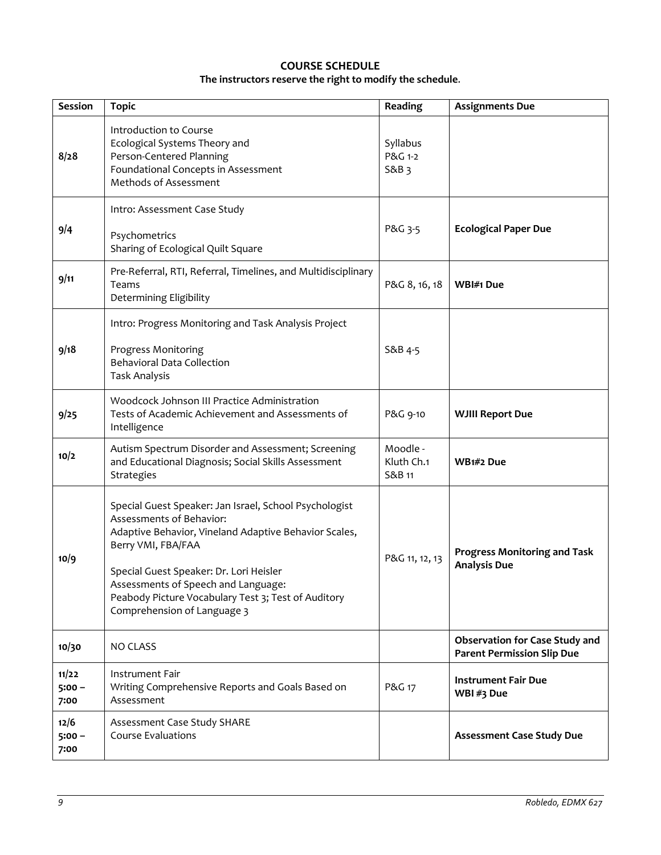# **COURSE SCHEDULE The instructors reserve the right to modify the schedule**.

<span id="page-8-0"></span>

| <b>Session</b>            | <b>Topic</b>                                                                                                                                                                                                                                                                                                                              | Reading                          | <b>Assignments Due</b>                                                     |
|---------------------------|-------------------------------------------------------------------------------------------------------------------------------------------------------------------------------------------------------------------------------------------------------------------------------------------------------------------------------------------|----------------------------------|----------------------------------------------------------------------------|
| 8/28                      | Introduction to Course<br>Ecological Systems Theory and<br>Person-Centered Planning<br>Foundational Concepts in Assessment<br>Methods of Assessment                                                                                                                                                                                       | Syllabus<br>P&G 1-2<br>S&B 3     |                                                                            |
| 9/4                       | Intro: Assessment Case Study<br>Psychometrics<br>Sharing of Ecological Quilt Square                                                                                                                                                                                                                                                       | P&G 3-5                          | <b>Ecological Paper Due</b>                                                |
| 9/11                      | Pre-Referral, RTI, Referral, Timelines, and Multidisciplinary<br>Teams<br>Determining Eligibility                                                                                                                                                                                                                                         | P&G 8, 16, 18                    | WBI#1 Due                                                                  |
| 9/18                      | Intro: Progress Monitoring and Task Analysis Project<br>Progress Monitoring<br><b>Behavioral Data Collection</b><br><b>Task Analysis</b>                                                                                                                                                                                                  | S&B 4-5                          |                                                                            |
| 9/25                      | Woodcock Johnson III Practice Administration<br>Tests of Academic Achievement and Assessments of<br>Intelligence                                                                                                                                                                                                                          | P&G 9-10                         | <b>WJIII Report Due</b>                                                    |
| 10/2                      | Autism Spectrum Disorder and Assessment; Screening<br>and Educational Diagnosis; Social Skills Assessment<br>Strategies                                                                                                                                                                                                                   | Moodle -<br>Kluth Ch.1<br>S&B 11 | WB1#2 Due                                                                  |
| 10/9                      | Special Guest Speaker: Jan Israel, School Psychologist<br>Assessments of Behavior:<br>Adaptive Behavior, Vineland Adaptive Behavior Scales,<br>Berry VMI, FBA/FAA<br>Special Guest Speaker: Dr. Lori Heisler<br>Assessments of Speech and Language:<br>Peabody Picture Vocabulary Test 3; Test of Auditory<br>Comprehension of Language 3 | P&G 11, 12, 13                   | <b>Progress Monitoring and Task</b><br><b>Analysis Due</b>                 |
| 10/30                     | <b>NO CLASS</b>                                                                                                                                                                                                                                                                                                                           |                                  | <b>Observation for Case Study and</b><br><b>Parent Permission Slip Due</b> |
| 11/22<br>$5:00 -$<br>7:00 | Instrument Fair<br>Writing Comprehensive Reports and Goals Based on<br>Assessment                                                                                                                                                                                                                                                         | P&G 17                           | <b>Instrument Fair Due</b><br>WBI#3 Due                                    |
| 12/6<br>$5:00 -$<br>7:00  | Assessment Case Study SHARE<br><b>Course Evaluations</b>                                                                                                                                                                                                                                                                                  |                                  | <b>Assessment Case Study Due</b>                                           |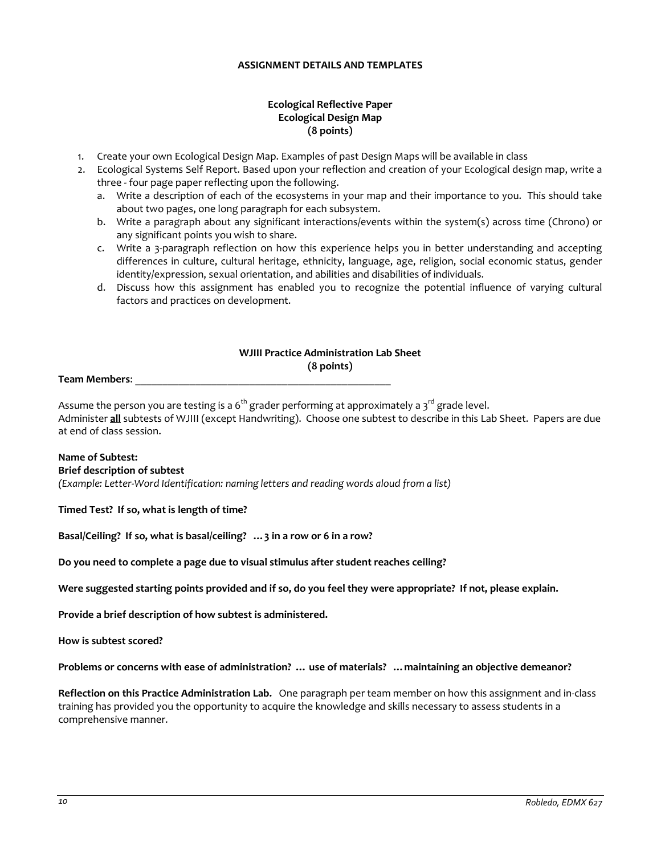## **ASSIGNMENT DETAILS AND TEMPLATES**

# **Ecological Reflective Paper Ecological Design Map (8 points)**

- <span id="page-9-0"></span>1. Create your own Ecological Design Map. Examples of past Design Maps will be available in class
- 2. Ecological Systems Self Report. Based upon your reflection and creation of your Ecological design map, write a three - four page paper reflecting upon the following.
	- a. Write a description of each of the ecosystems in your map and their importance to you. This should take about two pages, one long paragraph for each subsystem.
	- b. Write a paragraph about any significant interactions/events within the system(s) across time (Chrono) or any significant points you wish to share.
	- c. Write a 3-paragraph reflection on how this experience helps you in better understanding and accepting differences in culture, cultural heritage, ethnicity, language, age, religion, social economic status, gender identity/expression, sexual orientation, and abilities and disabilities of individuals.
	- d. Discuss how this assignment has enabled you to recognize the potential influence of varying cultural factors and practices on development.

# **WJIII Practice Administration Lab Sheet (8 points)**

#### **Team Members**: \_\_\_\_\_\_\_\_\_\_\_\_\_\_\_\_\_\_\_\_\_\_\_\_\_\_\_\_\_\_\_\_\_\_\_\_\_\_\_\_\_\_\_\_\_\_\_

Assume the person you are testing is a  $6<sup>th</sup>$  grader performing at approximately a  $3<sup>rd</sup>$  grade level. Administer **all** subtests of WJIII (except Handwriting). Choose one subtest to describe in this Lab Sheet. Papers are due at end of class session.

# **Name of Subtest:**

# **Brief description of subtest**

*(Example: Letter-Word Identification: naming letters and reading words aloud from a list)*

## **Timed Test? If so, what is length of time?**

**Basal/Ceiling? If so, what is basal/ceiling? …3 in a row or 6 in a row?** 

**Do you need to complete a page due to visual stimulus after student reaches ceiling?** 

**Were suggested starting points provided and if so, do you feel they were appropriate? If not, please explain.**

**Provide a brief description of how subtest is administered.**

**How is subtest scored?**

**Problems or concerns with ease of administration? … use of materials? …maintaining an objective demeanor?**

**Reflection on this Practice Administration Lab.** One paragraph per team member on how this assignment and in-class training has provided you the opportunity to acquire the knowledge and skills necessary to assess students in a comprehensive manner.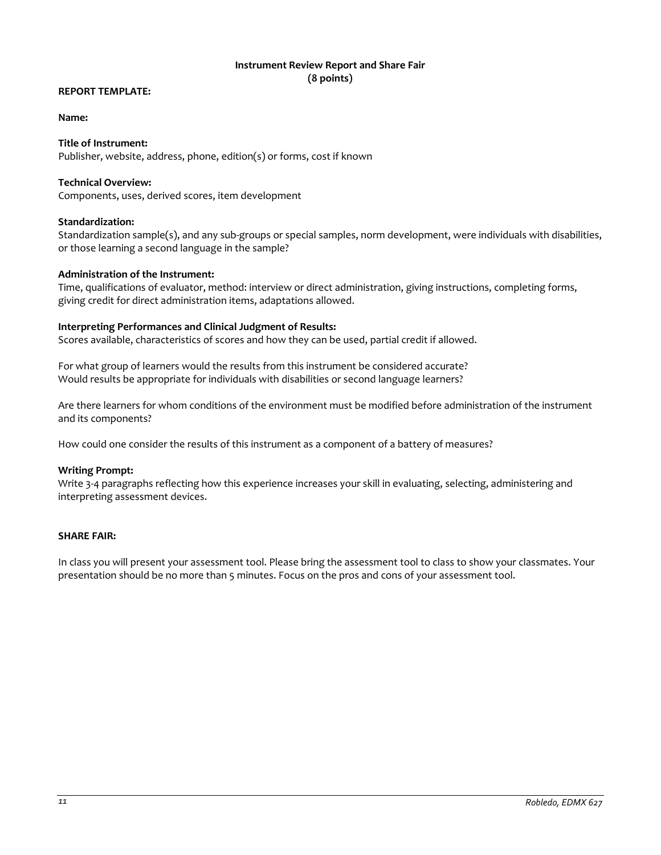# **Instrument Review Report and Share Fair (8 points)**

## <span id="page-10-0"></span>**REPORT TEMPLATE:**

#### **Name:**

# **Title of Instrument:**

Publisher, website, address, phone, edition(s) or forms, cost if known

#### **Technical Overview:**

Components, uses, derived scores, item development

#### **Standardization:**

Standardization sample(s), and any sub-groups or special samples, norm development, were individuals with disabilities, or those learning a second language in the sample?

#### **Administration of the Instrument:**

Time, qualifications of evaluator, method: interview or direct administration, giving instructions, completing forms, giving credit for direct administration items, adaptations allowed.

#### **Interpreting Performances and Clinical Judgment of Results:**

Scores available, characteristics of scores and how they can be used, partial credit if allowed.

For what group of learners would the results from this instrument be considered accurate? Would results be appropriate for individuals with disabilities or second language learners?

Are there learners for whom conditions of the environment must be modified before administration of the instrument and its components?

How could one consider the results of this instrument as a component of a battery of measures?

#### **Writing Prompt:**

Write 3-4 paragraphs reflecting how this experience increases your skill in evaluating, selecting, administering and interpreting assessment devices.

#### **SHARE FAIR:**

In class you will present your assessment tool. Please bring the assessment tool to class to show your classmates. Your presentation should be no more than 5 minutes. Focus on the pros and cons of your assessment tool.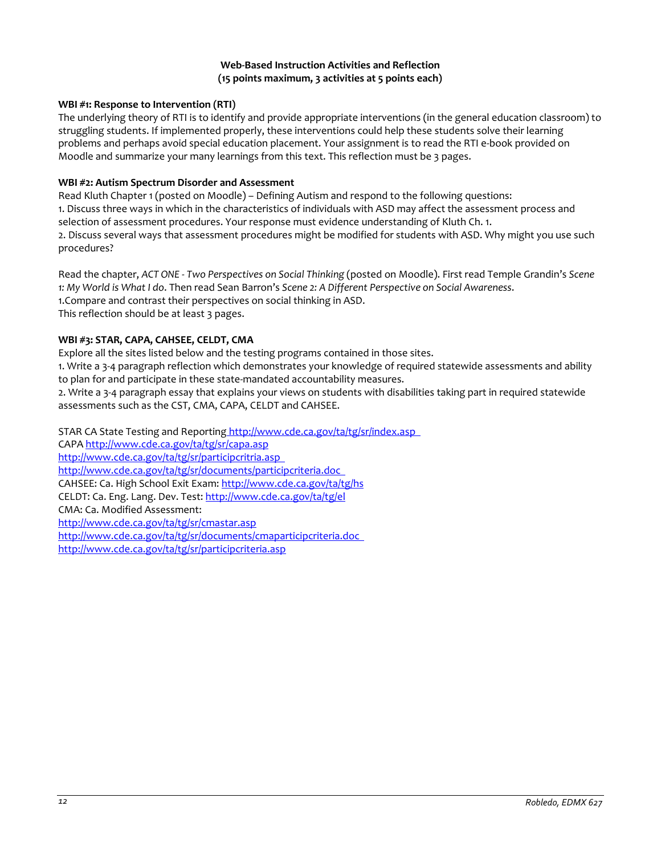## **Web-Based Instruction Activities and Reflection (15 points maximum, 3 activities at 5 points each)**

# <span id="page-11-0"></span>**WBI #1: Response to Intervention (RTI)**

The underlying theory of RTI is to identify and provide appropriate interventions (in the general education classroom) to struggling students. If implemented properly, these interventions could help these students solve their learning problems and perhaps avoid special education placement. Your assignment is to read the RTI e-book provided on Moodle and summarize your many learnings from this text. This reflection must be 3 pages.

# **WBI #2: Autism Spectrum Disorder and Assessment**

Read Kluth Chapter 1 (posted on Moodle) – Defining Autism and respond to the following questions: 1. Discuss three ways in which in the characteristics of individuals with ASD may affect the assessment process and selection of assessment procedures. Your response must evidence understanding of Kluth Ch. 1. 2. Discuss several ways that assessment procedures might be modified for students with ASD. Why might you use such procedures?

Read the chapter, *ACT ONE - Two Perspectives on Social Thinking* (posted on Moodle). First read Temple Grandin's *Scene 1: My World is What I do*. Then read Sean Barron's *Scene 2: A Different Perspective on Social Awareness*. 1.Compare and contrast their perspectives on social thinking in ASD. This reflection should be at least 3 pages.

# **WBI #3: STAR, CAPA, CAHSEE, CELDT, CMA**

Explore all the sites listed below and the testing programs contained in those sites.

1. Write a 3-4 paragraph reflection which demonstrates your knowledge of required statewide assessments and ability to plan for and participate in these state-mandated accountability measures.

2. Write a 3-4 paragraph essay that explains your views on students with disabilities taking part in required statewide assessments such as the CST, CMA, CAPA, CELDT and CAHSEE.

STAR CA State Testing and Reporting http://www.cde.ca.gov/ta/tg/sr/index.asp CAP[A http://www.cde.ca.gov/ta/tg/sr/capa.asp](http://www.cde.ca.gov/ta/tg/sr/capa.asp)  <http://www.cde.ca.gov/ta/tg/sr/participcritria.asp> <http://www.cde.ca.gov/ta/tg/sr/documents/participcriteria.doc> CAHSEE: Ca. High School Exit Exam[: http://www.cde.ca.gov/ta/tg/hs](http://www.cde.ca.gov/ta/tg/hs)  CELDT: Ca. Eng. Lang. Dev. Test[: http://www.cde.ca.gov/ta/tg/el](http://www.cde.ca.gov/ta/tg/el)  CMA: Ca. Modified Assessment: <http://www.cde.ca.gov/ta/tg/sr/cmastar.asp> <http://www.cde.ca.gov/ta/tg/sr/documents/cmaparticipcriteria.doc> <http://www.cde.ca.gov/ta/tg/sr/participcriteria.asp>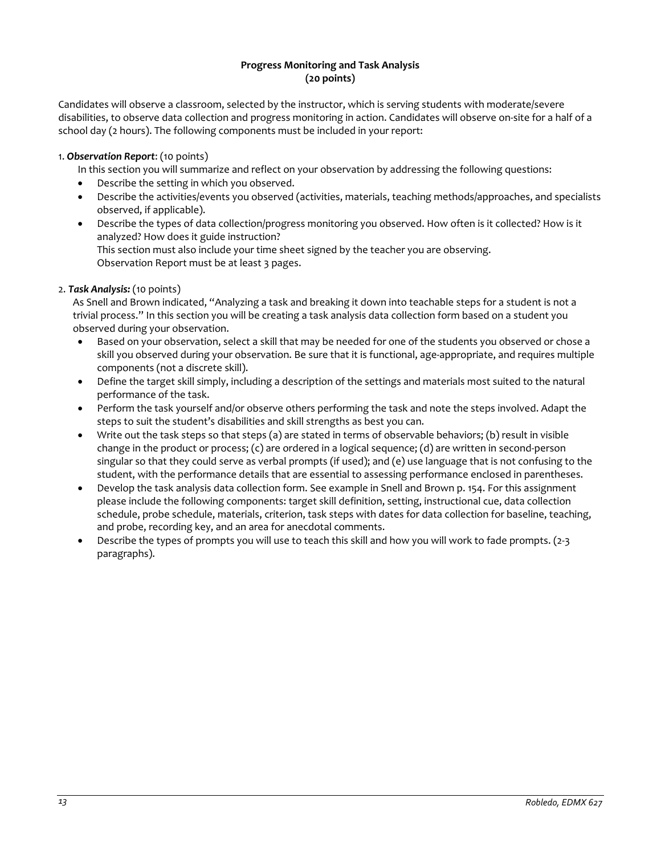# **Progress Monitoring and Task Analysis (20 points)**

<span id="page-12-0"></span>Candidates will observe a classroom, selected by the instructor, which is serving students with moderate/severe disabilities, to observe data collection and progress monitoring in action. Candidates will observe on-site for a half of a school day (2 hours). The following components must be included in your report:

# 1. *Observation Report*: (10 points)

In this section you will summarize and reflect on your observation by addressing the following questions:

- Describe the setting in which you observed.
- Describe the activities/events you observed (activities, materials, teaching methods/approaches, and specialists observed, if applicable).
- Describe the types of data collection/progress monitoring you observed. How often is it collected? How is it analyzed? How does it guide instruction? This section must also include your time sheet signed by the teacher you are observing.

Observation Report must be at least 3 pages.

# 2. *Task Analysis:* (10 points)

As Snell and Brown indicated, "Analyzing a task and breaking it down into teachable steps for a student is not a trivial process." In this section you will be creating a task analysis data collection form based on a student you observed during your observation.

- Based on your observation, select a skill that may be needed for one of the students you observed or chose a skill you observed during your observation. Be sure that it is functional, age-appropriate, and requires multiple components (not a discrete skill).
- Define the target skill simply, including a description of the settings and materials most suited to the natural performance of the task.
- Perform the task yourself and/or observe others performing the task and note the steps involved. Adapt the steps to suit the student's disabilities and skill strengths as best you can.
- Write out the task steps so that steps (a) are stated in terms of observable behaviors; (b) result in visible change in the product or process; (c) are ordered in a logical sequence; (d) are written in second-person singular so that they could serve as verbal prompts (if used); and (e) use language that is not confusing to the student, with the performance details that are essential to assessing performance enclosed in parentheses.
- Develop the task analysis data collection form. See example in Snell and Brown p. 154. For this assignment please include the following components: target skill definition, setting, instructional cue, data collection schedule, probe schedule, materials, criterion, task steps with dates for data collection for baseline, teaching, and probe, recording key, and an area for anecdotal comments.
- Describe the types of prompts you will use to teach this skill and how you will work to fade prompts. (2-3 paragraphs).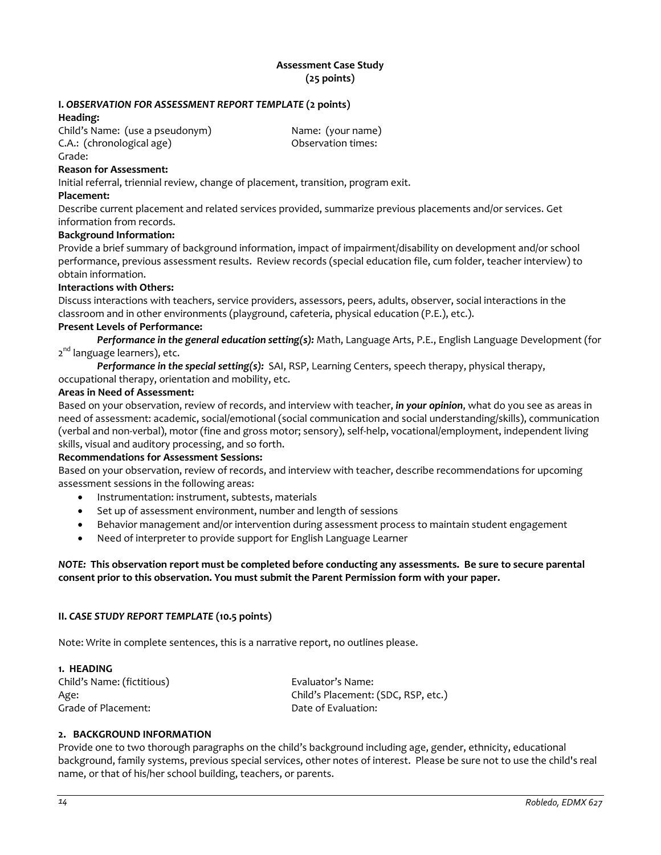# **Assessment Case Study (25 points)**

# <span id="page-13-0"></span>**I.** *OBSERVATION FOR ASSESSMENT REPORT TEMPLATE* **(2 points)**

### **Heading:**

Child's Name: (use a pseudonym) Name: (your name) C.A.: (chronological age) Observation times: Grade:

# **Reason for Assessment:**

Initial referral, triennial review, change of placement, transition, program exit.

#### **Placement:**

Describe current placement and related services provided, summarize previous placements and/or services. Get information from records.

#### **Background Information:**

Provide a brief summary of background information, impact of impairment/disability on development and/or school performance, previous assessment results. Review records (special education file, cum folder, teacher interview) to obtain information.

# **Interactions with Others:**

Discuss interactions with teachers, service providers, assessors, peers, adults, observer, social interactions in the classroom and in other environments (playground, cafeteria, physical education (P.E.), etc.).

### **Present Levels of Performance:**

*Performance in the general education setting(s):* Math, Language Arts, P.E., English Language Development (for 2<sup>nd</sup> language learners), etc.

*Performance in the special setting(s):* SAI, RSP, Learning Centers, speech therapy, physical therapy, occupational therapy, orientation and mobility, etc.

### **Areas in Need of Assessment:**

Based on your observation, review of records, and interview with teacher, *in your opinion*, what do you see as areas in need of assessment: academic, social/emotional (social communication and social understanding/skills), communication (verbal and non-verbal), motor (fine and gross motor; sensory), self-help, vocational/employment, independent living skills, visual and auditory processing, and so forth.

## **Recommendations for Assessment Sessions:**

Based on your observation, review of records, and interview with teacher, describe recommendations for upcoming assessment sessions in the following areas:

- Instrumentation: instrument, subtests, materials
- Set up of assessment environment, number and length of sessions
- Behavior management and/or intervention during assessment process to maintain student engagement
- Need of interpreter to provide support for English Language Learner

## *NOTE:* **This observation report must be completed before conducting any assessments. Be sure to secure parental consent prior to this observation. You must submit the Parent Permission form with your paper.**

## **II.** *CASE STUDY REPORT TEMPLATE* **(10.5 points)**

Note: Write in complete sentences, this is a narrative report, no outlines please.

# **1. HEADING** Child's Name: (fictitious) Evaluator's Name: Age: Child's Placement: (SDC, RSP, etc.) Grade of Placement: Case of Evaluation:

# **2. BACKGROUND INFORMATION**

Provide one to two thorough paragraphs on the child's background including age, gender, ethnicity, educational background, family systems, previous special services, other notes of interest. Please be sure not to use the child's real name, or that of his/her school building, teachers, or parents.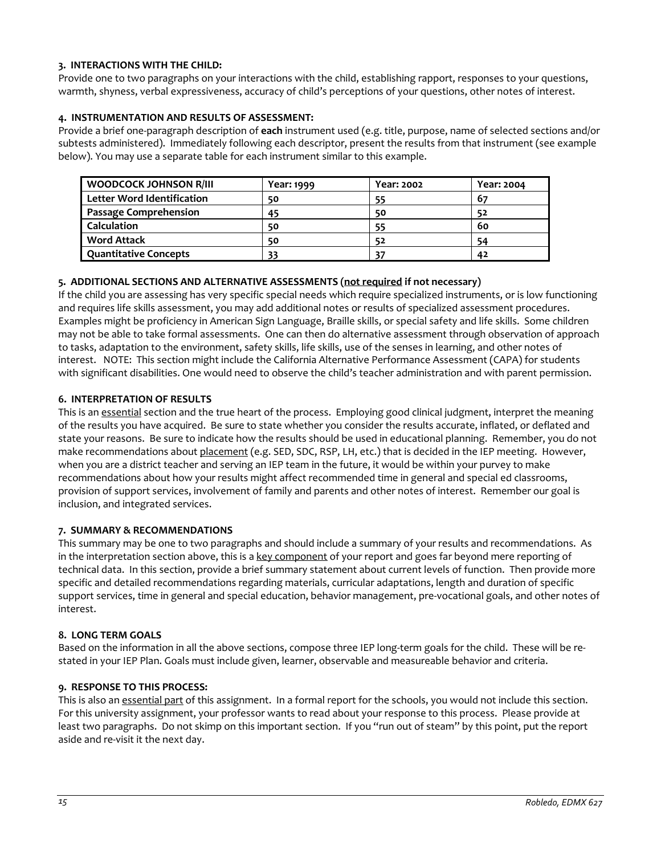# **3. INTERACTIONS WITH THE CHILD:**

Provide one to two paragraphs on your interactions with the child, establishing rapport, responses to your questions, warmth, shyness, verbal expressiveness, accuracy of child's perceptions of your questions, other notes of interest.

# **4. INSTRUMENTATION AND RESULTS OF ASSESSMENT:**

Provide a brief one-paragraph description of **each** instrument used (e.g. title, purpose, name of selected sections and/or subtests administered). Immediately following each descriptor, present the results from that instrument (see example below). You may use a separate table for each instrument similar to this example.

| <b>WOODCOCK JOHNSON R/III</b>     | Year: 1999 | Year: 2002 | Year: 2004 |
|-----------------------------------|------------|------------|------------|
| <b>Letter Word Identification</b> | 50         | 55         | -67        |
| <b>Passage Comprehension</b>      | 45         | 50         | 52         |
| <b>Calculation</b>                | 50         | 55         | 60         |
| <b>Word Attack</b>                | 50         | 52         | 54         |
| <b>Quantitative Concepts</b>      | 33         | 37         | 42         |

# **5. ADDITIONAL SECTIONS AND ALTERNATIVE ASSESSMENTS (not required if not necessary)**

If the child you are assessing has very specific special needs which require specialized instruments, or is low functioning and requires life skills assessment, you may add additional notes or results of specialized assessment procedures. Examples might be proficiency in American Sign Language, Braille skills, or special safety and life skills. Some children may not be able to take formal assessments. One can then do alternative assessment through observation of approach to tasks, adaptation to the environment, safety skills, life skills, use of the senses in learning, and other notes of interest. NOTE: This section might include the California Alternative Performance Assessment (CAPA) for students with significant disabilities. One would need to observe the child's teacher administration and with parent permission.

# **6. INTERPRETATION OF RESULTS**

This is an essential section and the true heart of the process. Employing good clinical judgment, interpret the meaning of the results you have acquired. Be sure to state whether you consider the results accurate, inflated, or deflated and state your reasons. Be sure to indicate how the results should be used in educational planning. Remember, you do not make recommendations about placement (e.g. SED, SDC, RSP, LH, etc.) that is decided in the IEP meeting. However, when you are a district teacher and serving an IEP team in the future, it would be within your purvey to make recommendations about how your results might affect recommended time in general and special ed classrooms, provision of support services, involvement of family and parents and other notes of interest. Remember our goal is inclusion, and integrated services.

## **7. SUMMARY & RECOMMENDATIONS**

This summary may be one to two paragraphs and should include a summary of your results and recommendations. As in the interpretation section above, this is a key component of your report and goes far beyond mere reporting of technical data. In this section, provide a brief summary statement about current levels of function. Then provide more specific and detailed recommendations regarding materials, curricular adaptations, length and duration of specific support services, time in general and special education, behavior management, pre-vocational goals, and other notes of interest.

## **8. LONG TERM GOALS**

Based on the information in all the above sections, compose three IEP long-term goals for the child. These will be restated in your IEP Plan. Goals must include given, learner, observable and measureable behavior and criteria.

## **9. RESPONSE TO THIS PROCESS:**

This is also an essential part of this assignment. In a formal report for the schools, you would not include this section. For this university assignment, your professor wants to read about your response to this process. Please provide at least two paragraphs. Do not skimp on this important section. If you "run out of steam" by this point, put the report aside and re-visit it the next day.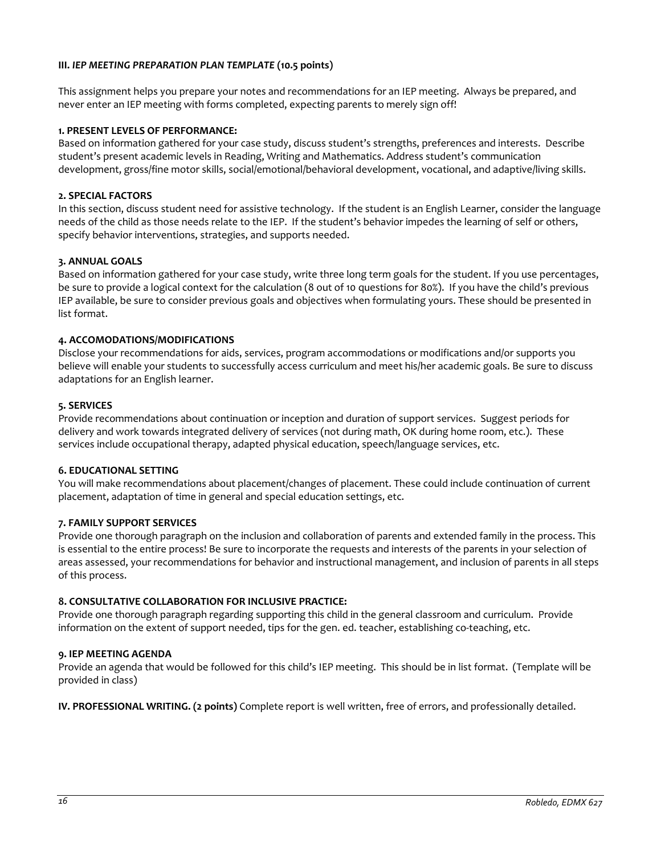# **III.** *IEP MEETING PREPARATION PLAN TEMPLATE* **(10.5 points)**

This assignment helps you prepare your notes and recommendations for an IEP meeting. Always be prepared, and never enter an IEP meeting with forms completed, expecting parents to merely sign off!

### **1. PRESENT LEVELS OF PERFORMANCE:**

Based on information gathered for your case study, discuss student's strengths, preferences and interests. Describe student's present academic levels in Reading, Writing and Mathematics. Address student's communication development, gross/fine motor skills, social/emotional/behavioral development, vocational, and adaptive/living skills.

# **2. SPECIAL FACTORS**

In this section, discuss student need for assistive technology. If the student is an English Learner, consider the language needs of the child as those needs relate to the IEP. If the student's behavior impedes the learning of self or others, specify behavior interventions, strategies, and supports needed.

## **3. ANNUAL GOALS**

Based on information gathered for your case study, write three long term goals for the student. If you use percentages, be sure to provide a logical context for the calculation (8 out of 10 questions for 80%). If you have the child's previous IEP available, be sure to consider previous goals and objectives when formulating yours. These should be presented in list format.

## **4. ACCOMODATIONS/MODIFICATIONS**

Disclose your recommendations for aids, services, program accommodations or modifications and/or supports you believe will enable your students to successfully access curriculum and meet his/her academic goals. Be sure to discuss adaptations for an English learner.

#### **5. SERVICES**

Provide recommendations about continuation or inception and duration of support services. Suggest periods for delivery and work towards integrated delivery of services (not during math, OK during home room, etc.). These services include occupational therapy, adapted physical education, speech/language services, etc.

#### **6. EDUCATIONAL SETTING**

You will make recommendations about placement/changes of placement. These could include continuation of current placement, adaptation of time in general and special education settings, etc.

## **7. FAMILY SUPPORT SERVICES**

Provide one thorough paragraph on the inclusion and collaboration of parents and extended family in the process. This is essential to the entire process! Be sure to incorporate the requests and interests of the parents in your selection of areas assessed, your recommendations for behavior and instructional management, and inclusion of parents in all steps of this process.

## **8. CONSULTATIVE COLLABORATION FOR INCLUSIVE PRACTICE:**

Provide one thorough paragraph regarding supporting this child in the general classroom and curriculum. Provide information on the extent of support needed, tips for the gen. ed. teacher, establishing co-teaching, etc.

#### **9. IEP MEETING AGENDA**

Provide an agenda that would be followed for this child's IEP meeting. This should be in list format. (Template will be provided in class)

**IV. PROFESSIONAL WRITING. (2 points)** Complete report is well written, free of errors, and professionally detailed.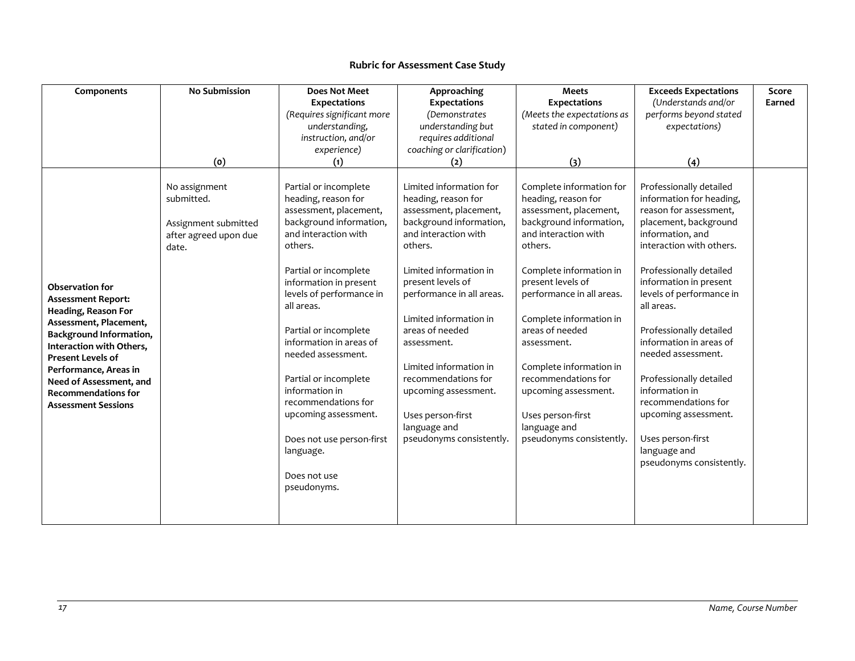<span id="page-16-0"></span>

| Components                                                                                                                                                                                                                                                                                                     | <b>No Submission</b>                                                                  | <b>Does Not Meet</b>                                                                                                                                                                                                                                                                                                                                                                                                                                                           | Approaching                                                                                                                                                                                                                                                                                                                                                                                                              | Meets                                                                                                                                                                                                                                                                                                                                                                                                                        | <b>Exceeds Expectations</b>                                                                                                                                                                                                                                                                                                                                                                                                                                                                    | Score  |
|----------------------------------------------------------------------------------------------------------------------------------------------------------------------------------------------------------------------------------------------------------------------------------------------------------------|---------------------------------------------------------------------------------------|--------------------------------------------------------------------------------------------------------------------------------------------------------------------------------------------------------------------------------------------------------------------------------------------------------------------------------------------------------------------------------------------------------------------------------------------------------------------------------|--------------------------------------------------------------------------------------------------------------------------------------------------------------------------------------------------------------------------------------------------------------------------------------------------------------------------------------------------------------------------------------------------------------------------|------------------------------------------------------------------------------------------------------------------------------------------------------------------------------------------------------------------------------------------------------------------------------------------------------------------------------------------------------------------------------------------------------------------------------|------------------------------------------------------------------------------------------------------------------------------------------------------------------------------------------------------------------------------------------------------------------------------------------------------------------------------------------------------------------------------------------------------------------------------------------------------------------------------------------------|--------|
|                                                                                                                                                                                                                                                                                                                |                                                                                       | <b>Expectations</b>                                                                                                                                                                                                                                                                                                                                                                                                                                                            | <b>Expectations</b>                                                                                                                                                                                                                                                                                                                                                                                                      | <b>Expectations</b>                                                                                                                                                                                                                                                                                                                                                                                                          | (Understands and/or                                                                                                                                                                                                                                                                                                                                                                                                                                                                            | Earned |
|                                                                                                                                                                                                                                                                                                                |                                                                                       | (Requires significant more                                                                                                                                                                                                                                                                                                                                                                                                                                                     | (Demonstrates                                                                                                                                                                                                                                                                                                                                                                                                            | (Meets the expectations as                                                                                                                                                                                                                                                                                                                                                                                                   | performs beyond stated                                                                                                                                                                                                                                                                                                                                                                                                                                                                         |        |
|                                                                                                                                                                                                                                                                                                                |                                                                                       | understanding,                                                                                                                                                                                                                                                                                                                                                                                                                                                                 | understanding but                                                                                                                                                                                                                                                                                                                                                                                                        | stated in component)                                                                                                                                                                                                                                                                                                                                                                                                         | expectations)                                                                                                                                                                                                                                                                                                                                                                                                                                                                                  |        |
|                                                                                                                                                                                                                                                                                                                |                                                                                       | instruction, and/or                                                                                                                                                                                                                                                                                                                                                                                                                                                            | requires additional                                                                                                                                                                                                                                                                                                                                                                                                      |                                                                                                                                                                                                                                                                                                                                                                                                                              |                                                                                                                                                                                                                                                                                                                                                                                                                                                                                                |        |
|                                                                                                                                                                                                                                                                                                                |                                                                                       | experience)                                                                                                                                                                                                                                                                                                                                                                                                                                                                    | coaching or clarification)                                                                                                                                                                                                                                                                                                                                                                                               |                                                                                                                                                                                                                                                                                                                                                                                                                              |                                                                                                                                                                                                                                                                                                                                                                                                                                                                                                |        |
|                                                                                                                                                                                                                                                                                                                | (o)                                                                                   | (1)                                                                                                                                                                                                                                                                                                                                                                                                                                                                            | (2)                                                                                                                                                                                                                                                                                                                                                                                                                      | (3)                                                                                                                                                                                                                                                                                                                                                                                                                          | (4)                                                                                                                                                                                                                                                                                                                                                                                                                                                                                            |        |
| <b>Observation for</b><br><b>Assessment Report:</b><br>Heading, Reason For<br>Assessment, Placement,<br><b>Background Information,</b><br>Interaction with Others,<br><b>Present Levels of</b><br>Performance, Areas in<br>Need of Assessment, and<br><b>Recommendations for</b><br><b>Assessment Sessions</b> | No assignment<br>submitted.<br>Assignment submitted<br>after agreed upon due<br>date. | Partial or incomplete<br>heading, reason for<br>assessment, placement,<br>background information,<br>and interaction with<br>others.<br>Partial or incomplete<br>information in present<br>levels of performance in<br>all areas.<br>Partial or incomplete<br>information in areas of<br>needed assessment.<br>Partial or incomplete<br>information in<br>recommendations for<br>upcoming assessment.<br>Does not use person-first<br>language.<br>Does not use<br>pseudonyms. | Limited information for<br>heading, reason for<br>assessment, placement,<br>background information,<br>and interaction with<br>others.<br>Limited information in<br>present levels of<br>performance in all areas.<br>Limited information in<br>areas of needed<br>assessment.<br>Limited information in<br>recommendations for<br>upcoming assessment.<br>Uses person-first<br>language and<br>pseudonyms consistently. | Complete information for<br>heading, reason for<br>assessment, placement,<br>background information,<br>and interaction with<br>others.<br>Complete information in<br>present levels of<br>performance in all areas.<br>Complete information in<br>areas of needed<br>assessment.<br>Complete information in<br>recommendations for<br>upcoming assessment.<br>Uses person-first<br>language and<br>pseudonyms consistently. | Professionally detailed<br>information for heading,<br>reason for assessment,<br>placement, background<br>information, and<br>interaction with others.<br>Professionally detailed<br>information in present<br>levels of performance in<br>all areas.<br>Professionally detailed<br>information in areas of<br>needed assessment.<br>Professionally detailed<br>information in<br>recommendations for<br>upcoming assessment.<br>Uses person-first<br>language and<br>pseudonyms consistently. |        |
|                                                                                                                                                                                                                                                                                                                |                                                                                       |                                                                                                                                                                                                                                                                                                                                                                                                                                                                                |                                                                                                                                                                                                                                                                                                                                                                                                                          |                                                                                                                                                                                                                                                                                                                                                                                                                              |                                                                                                                                                                                                                                                                                                                                                                                                                                                                                                |        |

# **Rubric for Assessment Case Study**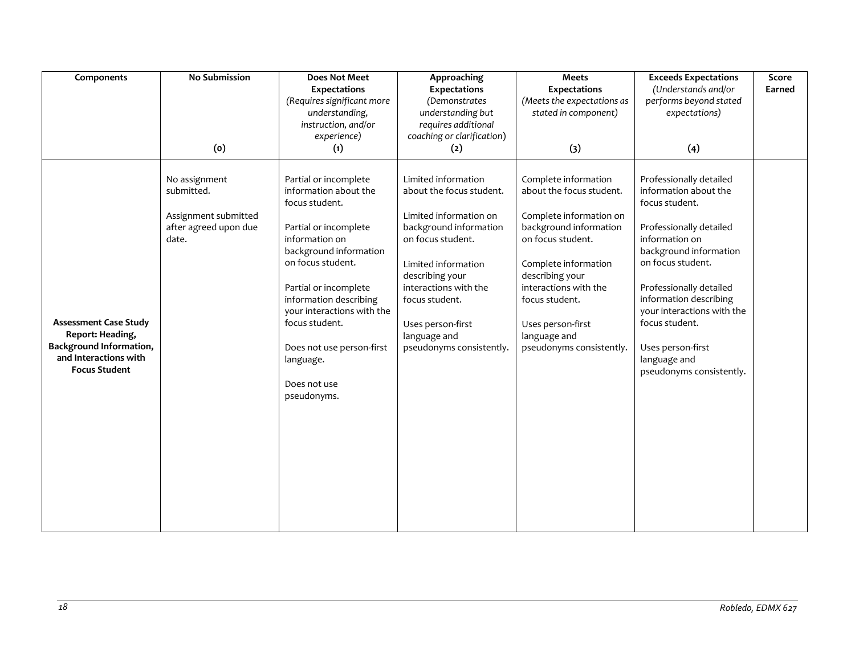| Components                                                                                                                          | <b>No Submission</b>                                                                  | <b>Does Not Meet</b>                                                                                                                                                                                                                                                                                                                   | Approaching                                                                                                                                                                                                                                                                    | <b>Meets</b>                                                                                                                                                                                                                                                                      | <b>Exceeds Expectations</b>                                                                                                                                                                                                                                                                                                          | Score  |
|-------------------------------------------------------------------------------------------------------------------------------------|---------------------------------------------------------------------------------------|----------------------------------------------------------------------------------------------------------------------------------------------------------------------------------------------------------------------------------------------------------------------------------------------------------------------------------------|--------------------------------------------------------------------------------------------------------------------------------------------------------------------------------------------------------------------------------------------------------------------------------|-----------------------------------------------------------------------------------------------------------------------------------------------------------------------------------------------------------------------------------------------------------------------------------|--------------------------------------------------------------------------------------------------------------------------------------------------------------------------------------------------------------------------------------------------------------------------------------------------------------------------------------|--------|
|                                                                                                                                     |                                                                                       | <b>Expectations</b>                                                                                                                                                                                                                                                                                                                    | <b>Expectations</b>                                                                                                                                                                                                                                                            | <b>Expectations</b>                                                                                                                                                                                                                                                               | (Understands and/or                                                                                                                                                                                                                                                                                                                  | Earned |
|                                                                                                                                     |                                                                                       | (Requires significant more                                                                                                                                                                                                                                                                                                             | (Demonstrates                                                                                                                                                                                                                                                                  | (Meets the expectations as                                                                                                                                                                                                                                                        | performs beyond stated                                                                                                                                                                                                                                                                                                               |        |
|                                                                                                                                     |                                                                                       | understanding,                                                                                                                                                                                                                                                                                                                         | understanding but                                                                                                                                                                                                                                                              | stated in component)                                                                                                                                                                                                                                                              | expectations)                                                                                                                                                                                                                                                                                                                        |        |
|                                                                                                                                     |                                                                                       | instruction, and/or                                                                                                                                                                                                                                                                                                                    | requires additional                                                                                                                                                                                                                                                            |                                                                                                                                                                                                                                                                                   |                                                                                                                                                                                                                                                                                                                                      |        |
|                                                                                                                                     |                                                                                       | experience)                                                                                                                                                                                                                                                                                                                            | coaching or clarification)                                                                                                                                                                                                                                                     |                                                                                                                                                                                                                                                                                   |                                                                                                                                                                                                                                                                                                                                      |        |
|                                                                                                                                     | (0)                                                                                   | (1)                                                                                                                                                                                                                                                                                                                                    | (2)                                                                                                                                                                                                                                                                            | (3)                                                                                                                                                                                                                                                                               | (4)                                                                                                                                                                                                                                                                                                                                  |        |
| <b>Assessment Case Study</b><br>Report: Heading,<br><b>Background Information,</b><br>and Interactions with<br><b>Focus Student</b> | No assignment<br>submitted.<br>Assignment submitted<br>after agreed upon due<br>date. | Partial or incomplete<br>information about the<br>focus student.<br>Partial or incomplete<br>information on<br>background information<br>on focus student.<br>Partial or incomplete<br>information describing<br>your interactions with the<br>focus student.<br>Does not use person-first<br>language.<br>Does not use<br>pseudonyms. | Limited information<br>about the focus student.<br>Limited information on<br>background information<br>on focus student.<br>Limited information<br>describing your<br>interactions with the<br>focus student.<br>Uses person-first<br>language and<br>pseudonyms consistently. | Complete information<br>about the focus student.<br>Complete information on<br>background information<br>on focus student.<br>Complete information<br>describing your<br>interactions with the<br>focus student.<br>Uses person-first<br>language and<br>pseudonyms consistently. | Professionally detailed<br>information about the<br>focus student.<br>Professionally detailed<br>information on<br>background information<br>on focus student.<br>Professionally detailed<br>information describing<br>your interactions with the<br>focus student.<br>Uses person-first<br>language and<br>pseudonyms consistently. |        |
|                                                                                                                                     |                                                                                       |                                                                                                                                                                                                                                                                                                                                        |                                                                                                                                                                                                                                                                                |                                                                                                                                                                                                                                                                                   |                                                                                                                                                                                                                                                                                                                                      |        |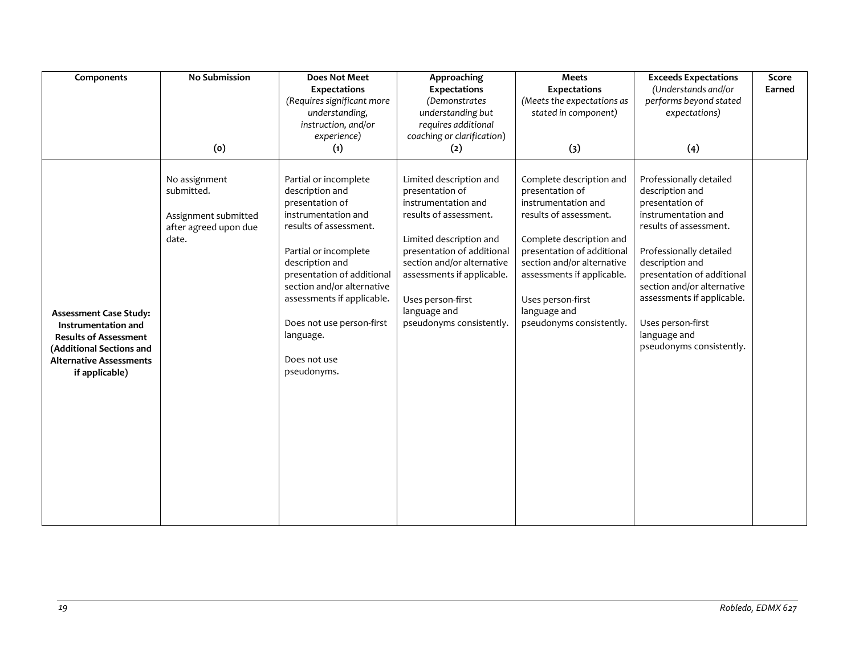| <b>No Submission</b>                                                                  | <b>Does Not Meet</b>                                                                                                                                                                                                                                                                                                        | Approaching                                                                                                                                                                                                                                                                       | <b>Meets</b>                                                                                                                                                                                                                                                                        | <b>Exceeds Expectations</b>                                                                                                                                                                                                                                                                                             | Score                                                                 |
|---------------------------------------------------------------------------------------|-----------------------------------------------------------------------------------------------------------------------------------------------------------------------------------------------------------------------------------------------------------------------------------------------------------------------------|-----------------------------------------------------------------------------------------------------------------------------------------------------------------------------------------------------------------------------------------------------------------------------------|-------------------------------------------------------------------------------------------------------------------------------------------------------------------------------------------------------------------------------------------------------------------------------------|-------------------------------------------------------------------------------------------------------------------------------------------------------------------------------------------------------------------------------------------------------------------------------------------------------------------------|-----------------------------------------------------------------------|
|                                                                                       | <b>Expectations</b>                                                                                                                                                                                                                                                                                                         | <b>Expectations</b>                                                                                                                                                                                                                                                               | Expectations                                                                                                                                                                                                                                                                        |                                                                                                                                                                                                                                                                                                                         | Earned                                                                |
|                                                                                       |                                                                                                                                                                                                                                                                                                                             |                                                                                                                                                                                                                                                                                   |                                                                                                                                                                                                                                                                                     |                                                                                                                                                                                                                                                                                                                         |                                                                       |
|                                                                                       |                                                                                                                                                                                                                                                                                                                             |                                                                                                                                                                                                                                                                                   |                                                                                                                                                                                                                                                                                     |                                                                                                                                                                                                                                                                                                                         |                                                                       |
|                                                                                       |                                                                                                                                                                                                                                                                                                                             |                                                                                                                                                                                                                                                                                   |                                                                                                                                                                                                                                                                                     |                                                                                                                                                                                                                                                                                                                         |                                                                       |
|                                                                                       |                                                                                                                                                                                                                                                                                                                             |                                                                                                                                                                                                                                                                                   |                                                                                                                                                                                                                                                                                     |                                                                                                                                                                                                                                                                                                                         |                                                                       |
|                                                                                       |                                                                                                                                                                                                                                                                                                                             |                                                                                                                                                                                                                                                                                   |                                                                                                                                                                                                                                                                                     |                                                                                                                                                                                                                                                                                                                         |                                                                       |
| No assignment<br>submitted.<br>Assignment submitted<br>after agreed upon due<br>date. | Partial or incomplete<br>description and<br>presentation of<br>instrumentation and<br>results of assessment.<br>Partial or incomplete<br>description and<br>presentation of additional<br>section and/or alternative<br>assessments if applicable.<br>Does not use person-first<br>language.<br>Does not use<br>pseudonyms. | Limited description and<br>presentation of<br>instrumentation and<br>results of assessment.<br>Limited description and<br>presentation of additional<br>section and/or alternative<br>assessments if applicable.<br>Uses person-first<br>language and<br>pseudonyms consistently. | Complete description and<br>presentation of<br>instrumentation and<br>results of assessment.<br>Complete description and<br>presentation of additional<br>section and/or alternative<br>assessments if applicable.<br>Uses person-first<br>language and<br>pseudonyms consistently. | Professionally detailed<br>description and<br>presentation of<br>instrumentation and<br>results of assessment.<br>Professionally detailed<br>description and<br>presentation of additional<br>section and/or alternative<br>assessments if applicable.<br>Uses person-first<br>language and<br>pseudonyms consistently. |                                                                       |
|                                                                                       | (0)                                                                                                                                                                                                                                                                                                                         | (Requires significant more<br>understanding,<br>instruction, and/or<br>experience)<br>(1)                                                                                                                                                                                         | <i>(Demonstrates</i><br>understanding but<br>requires additional<br>coaching or clarification)<br>(2)                                                                                                                                                                               | (Meets the expectations as<br>stated in component)<br>(3)                                                                                                                                                                                                                                                               | (Understands and/or<br>performs beyond stated<br>expectations)<br>(4) |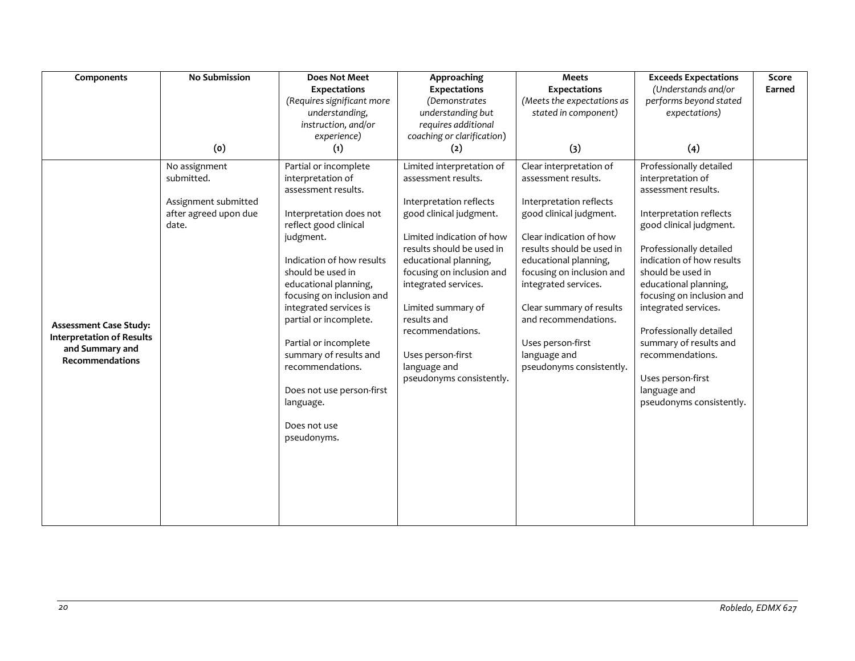| Components                       | No Submission                                 | <b>Does Not Meet</b>                             | Approaching                | <b>Meets</b>               | <b>Exceeds Expectations</b>                        | Score  |
|----------------------------------|-----------------------------------------------|--------------------------------------------------|----------------------------|----------------------------|----------------------------------------------------|--------|
|                                  |                                               | <b>Expectations</b>                              | Expectations               | <b>Expectations</b>        | (Understands and/or                                | Earned |
|                                  |                                               | (Requires significant more                       | (Demonstrates              | (Meets the expectations as | performs beyond stated                             |        |
|                                  |                                               | understanding,                                   | understanding but          | stated in component)       | expectations)                                      |        |
|                                  |                                               | instruction, and/or                              | requires additional        |                            |                                                    |        |
|                                  |                                               | experience)                                      | coaching or clarification) |                            |                                                    |        |
|                                  | (o)                                           | (1)                                              | (2)                        | (3)                        | (4)                                                |        |
|                                  | No assignment                                 | Partial or incomplete                            | Limited interpretation of  | Clear interpretation of    | Professionally detailed                            |        |
|                                  | submitted.                                    | interpretation of                                | assessment results.        | assessment results.        | interpretation of                                  |        |
|                                  |                                               | assessment results.                              |                            |                            | assessment results.                                |        |
|                                  | Assignment submitted<br>after agreed upon due |                                                  | Interpretation reflects    | Interpretation reflects    |                                                    |        |
|                                  | date.                                         | Interpretation does not<br>reflect good clinical | good clinical judgment.    | good clinical judgment.    | Interpretation reflects<br>good clinical judgment. |        |
|                                  |                                               | judgment.                                        | Limited indication of how  | Clear indication of how    |                                                    |        |
|                                  |                                               |                                                  | results should be used in  | results should be used in  | Professionally detailed                            |        |
|                                  |                                               | Indication of how results                        | educational planning,      | educational planning,      | indication of how results                          |        |
|                                  |                                               | should be used in                                | focusing on inclusion and  | focusing on inclusion and  | should be used in                                  |        |
|                                  |                                               | educational planning,                            | integrated services.       | integrated services.       | educational planning,                              |        |
|                                  |                                               | focusing on inclusion and                        |                            |                            | focusing on inclusion and                          |        |
|                                  |                                               | integrated services is                           | Limited summary of         | Clear summary of results   | integrated services.                               |        |
| <b>Assessment Case Study:</b>    |                                               | partial or incomplete.                           | results and                | and recommendations.       |                                                    |        |
| <b>Interpretation of Results</b> |                                               |                                                  | recommendations.           |                            | Professionally detailed                            |        |
| and Summary and                  |                                               | Partial or incomplete                            |                            | Uses person-first          | summary of results and                             |        |
| <b>Recommendations</b>           |                                               | summary of results and                           | Uses person-first          | language and               | recommendations.                                   |        |
|                                  |                                               | recommendations.                                 | language and               | pseudonyms consistently.   |                                                    |        |
|                                  |                                               |                                                  | pseudonyms consistently.   |                            | Uses person-first                                  |        |
|                                  |                                               | Does not use person-first                        |                            |                            | language and<br>pseudonyms consistently.           |        |
|                                  |                                               | language.                                        |                            |                            |                                                    |        |
|                                  |                                               | Does not use                                     |                            |                            |                                                    |        |
|                                  |                                               | pseudonyms.                                      |                            |                            |                                                    |        |
|                                  |                                               |                                                  |                            |                            |                                                    |        |
|                                  |                                               |                                                  |                            |                            |                                                    |        |
|                                  |                                               |                                                  |                            |                            |                                                    |        |
|                                  |                                               |                                                  |                            |                            |                                                    |        |
|                                  |                                               |                                                  |                            |                            |                                                    |        |
|                                  |                                               |                                                  |                            |                            |                                                    |        |
|                                  |                                               |                                                  |                            |                            |                                                    |        |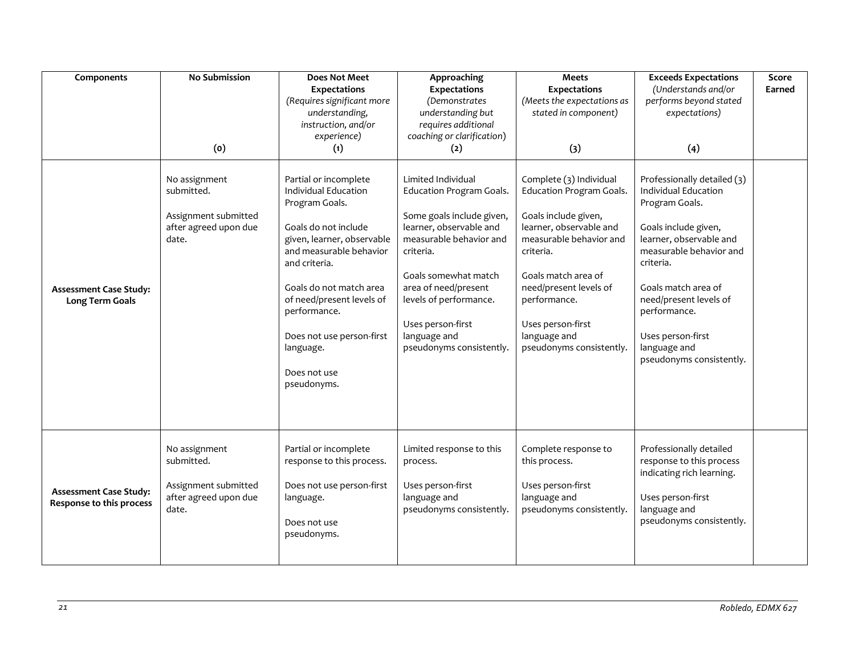| Components                                                | <b>No Submission</b>                                                                  | <b>Does Not Meet</b><br><b>Expectations</b><br>(Requires significant more<br>understanding,<br>instruction, and/or<br>experience)                                                                                                                                                                                  | Approaching<br><b>Expectations</b><br>(Demonstrates<br>understanding but<br>requires additional<br>coaching or clarification)                                                                                                                                                                    | <b>Meets</b><br><b>Expectations</b><br>(Meets the expectations as<br>stated in component)                                                                                                                                                                                        | <b>Exceeds Expectations</b><br>(Understands and/or<br>performs beyond stated<br>expectations)                                                                                                                                                                                                      | Score<br>Earned |
|-----------------------------------------------------------|---------------------------------------------------------------------------------------|--------------------------------------------------------------------------------------------------------------------------------------------------------------------------------------------------------------------------------------------------------------------------------------------------------------------|--------------------------------------------------------------------------------------------------------------------------------------------------------------------------------------------------------------------------------------------------------------------------------------------------|----------------------------------------------------------------------------------------------------------------------------------------------------------------------------------------------------------------------------------------------------------------------------------|----------------------------------------------------------------------------------------------------------------------------------------------------------------------------------------------------------------------------------------------------------------------------------------------------|-----------------|
|                                                           | (o)                                                                                   | (1)                                                                                                                                                                                                                                                                                                                | (2)                                                                                                                                                                                                                                                                                              | (3)                                                                                                                                                                                                                                                                              | (4)                                                                                                                                                                                                                                                                                                |                 |
| <b>Assessment Case Study:</b><br><b>Long Term Goals</b>   | No assignment<br>submitted.<br>Assignment submitted<br>after agreed upon due<br>date. | Partial or incomplete<br>Individual Education<br>Program Goals.<br>Goals do not include<br>given, learner, observable<br>and measurable behavior<br>and criteria.<br>Goals do not match area<br>of need/present levels of<br>performance.<br>Does not use person-first<br>language.<br>Does not use<br>pseudonyms. | Limited Individual<br><b>Education Program Goals.</b><br>Some goals include given,<br>learner, observable and<br>measurable behavior and<br>criteria.<br>Goals somewhat match<br>area of need/present<br>levels of performance.<br>Uses person-first<br>language and<br>pseudonyms consistently. | Complete (3) Individual<br>Education Program Goals.<br>Goals include given,<br>learner, observable and<br>measurable behavior and<br>criteria.<br>Goals match area of<br>need/present levels of<br>performance.<br>Uses person-first<br>language and<br>pseudonyms consistently. | Professionally detailed (3)<br>Individual Education<br>Program Goals.<br>Goals include given,<br>learner, observable and<br>measurable behavior and<br>criteria.<br>Goals match area of<br>need/present levels of<br>performance.<br>Uses person-first<br>language and<br>pseudonyms consistently. |                 |
| <b>Assessment Case Study:</b><br>Response to this process | No assignment<br>submitted.<br>Assignment submitted<br>after agreed upon due<br>date. | Partial or incomplete<br>response to this process.<br>Does not use person-first<br>language.<br>Does not use<br>pseudonyms.                                                                                                                                                                                        | Limited response to this<br>process.<br>Uses person-first<br>language and<br>pseudonyms consistently.                                                                                                                                                                                            | Complete response to<br>this process.<br>Uses person-first<br>language and<br>pseudonyms consistently.                                                                                                                                                                           | Professionally detailed<br>response to this process<br>indicating rich learning.<br>Uses person-first<br>language and<br>pseudonyms consistently.                                                                                                                                                  |                 |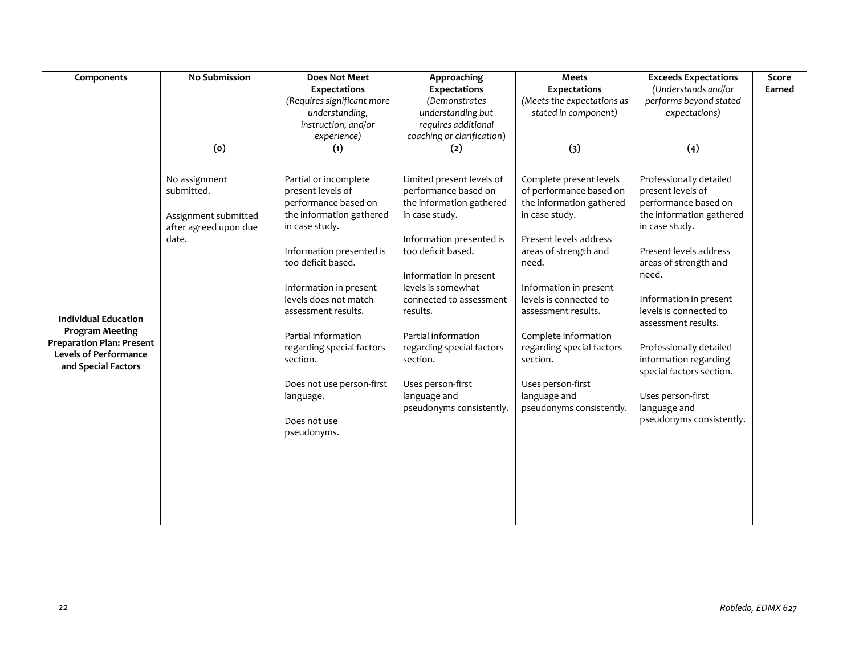| Components                                                                                                                                       | <b>No Submission</b>                                                                  | <b>Does Not Meet</b>                                                                                                                                                                                                                                                                                                                                                                                 | Approaching                                                                                                                                                                                                                                                                                                                                                                                             | <b>Meets</b>                                                                                                                                                                                                                                                                                                                                                              | <b>Exceeds Expectations</b>                                                                                                                                                                                                                                                                                                                                                                                | Score<br>Earned |
|--------------------------------------------------------------------------------------------------------------------------------------------------|---------------------------------------------------------------------------------------|------------------------------------------------------------------------------------------------------------------------------------------------------------------------------------------------------------------------------------------------------------------------------------------------------------------------------------------------------------------------------------------------------|---------------------------------------------------------------------------------------------------------------------------------------------------------------------------------------------------------------------------------------------------------------------------------------------------------------------------------------------------------------------------------------------------------|---------------------------------------------------------------------------------------------------------------------------------------------------------------------------------------------------------------------------------------------------------------------------------------------------------------------------------------------------------------------------|------------------------------------------------------------------------------------------------------------------------------------------------------------------------------------------------------------------------------------------------------------------------------------------------------------------------------------------------------------------------------------------------------------|-----------------|
|                                                                                                                                                  |                                                                                       | <b>Expectations</b><br>(Requires significant more                                                                                                                                                                                                                                                                                                                                                    | <b>Expectations</b><br>(Demonstrates                                                                                                                                                                                                                                                                                                                                                                    | <b>Expectations</b><br>(Meets the expectations as                                                                                                                                                                                                                                                                                                                         | (Understands and/or<br>performs beyond stated                                                                                                                                                                                                                                                                                                                                                              |                 |
|                                                                                                                                                  |                                                                                       | understanding,                                                                                                                                                                                                                                                                                                                                                                                       | understanding but                                                                                                                                                                                                                                                                                                                                                                                       | stated in component)                                                                                                                                                                                                                                                                                                                                                      | expectations)                                                                                                                                                                                                                                                                                                                                                                                              |                 |
|                                                                                                                                                  |                                                                                       | instruction, and/or                                                                                                                                                                                                                                                                                                                                                                                  | requires additional                                                                                                                                                                                                                                                                                                                                                                                     |                                                                                                                                                                                                                                                                                                                                                                           |                                                                                                                                                                                                                                                                                                                                                                                                            |                 |
|                                                                                                                                                  | (0)                                                                                   | (1)                                                                                                                                                                                                                                                                                                                                                                                                  | (2)                                                                                                                                                                                                                                                                                                                                                                                                     | (3)                                                                                                                                                                                                                                                                                                                                                                       | (4)                                                                                                                                                                                                                                                                                                                                                                                                        |                 |
| <b>Individual Education</b><br><b>Program Meeting</b><br><b>Preparation Plan: Present</b><br><b>Levels of Performance</b><br>and Special Factors | No assignment<br>submitted.<br>Assignment submitted<br>after agreed upon due<br>date. | experience)<br>Partial or incomplete<br>present levels of<br>performance based on<br>the information gathered<br>in case study.<br>Information presented is<br>too deficit based.<br>Information in present<br>levels does not match<br>assessment results.<br>Partial information<br>regarding special factors<br>section.<br>Does not use person-first<br>language.<br>Does not use<br>pseudonyms. | coaching or clarification)<br>Limited present levels of<br>performance based on<br>the information gathered<br>in case study.<br>Information presented is<br>too deficit based.<br>Information in present<br>levels is somewhat<br>connected to assessment<br>results.<br>Partial information<br>regarding special factors<br>section.<br>Uses person-first<br>language and<br>pseudonyms consistently. | Complete present levels<br>of performance based on<br>the information gathered<br>in case study.<br>Present levels address<br>areas of strength and<br>need.<br>Information in present<br>levels is connected to<br>assessment results.<br>Complete information<br>regarding special factors<br>section.<br>Uses person-first<br>language and<br>pseudonyms consistently. | Professionally detailed<br>present levels of<br>performance based on<br>the information gathered<br>in case study.<br>Present levels address<br>areas of strength and<br>need.<br>Information in present<br>levels is connected to<br>assessment results.<br>Professionally detailed<br>information regarding<br>special factors section.<br>Uses person-first<br>language and<br>pseudonyms consistently. |                 |
|                                                                                                                                                  |                                                                                       |                                                                                                                                                                                                                                                                                                                                                                                                      |                                                                                                                                                                                                                                                                                                                                                                                                         |                                                                                                                                                                                                                                                                                                                                                                           |                                                                                                                                                                                                                                                                                                                                                                                                            |                 |
|                                                                                                                                                  |                                                                                       |                                                                                                                                                                                                                                                                                                                                                                                                      |                                                                                                                                                                                                                                                                                                                                                                                                         |                                                                                                                                                                                                                                                                                                                                                                           |                                                                                                                                                                                                                                                                                                                                                                                                            |                 |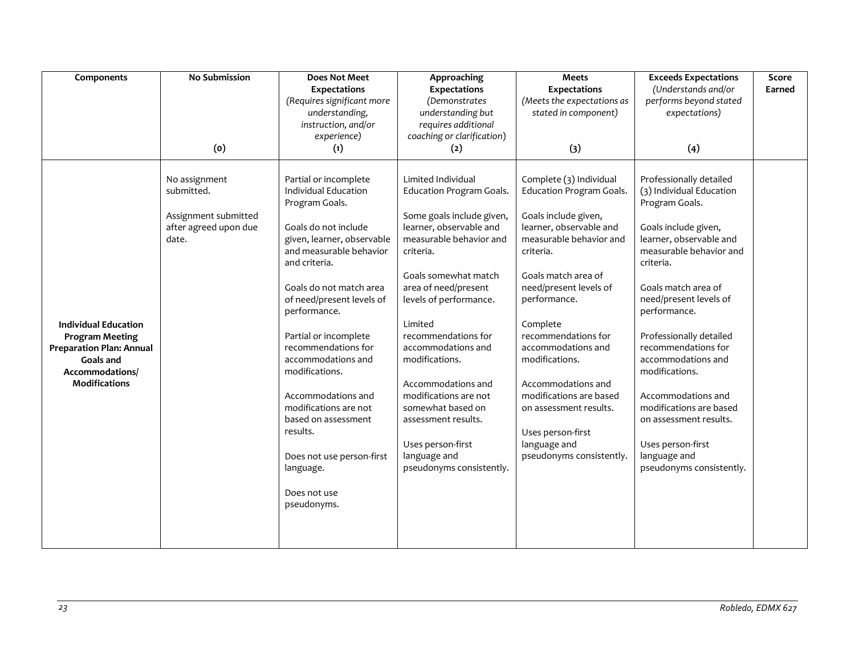| Components                                                                                                                                       | <b>No Submission</b>                                                                         | <b>Does Not Meet</b>                                                                                                                                                                                                                                                                                                                                                                                                                                                                 | Approaching                                                                                                                                                                                                                                                                                                                                                                                                                                                           | <b>Meets</b>                                                                                                                                                                                                                                                                                                                                                                                                                                    | <b>Exceeds Expectations</b>                                                                                                                                                                                                                                                                                                                                                                                                                                                    | Score  |
|--------------------------------------------------------------------------------------------------------------------------------------------------|----------------------------------------------------------------------------------------------|--------------------------------------------------------------------------------------------------------------------------------------------------------------------------------------------------------------------------------------------------------------------------------------------------------------------------------------------------------------------------------------------------------------------------------------------------------------------------------------|-----------------------------------------------------------------------------------------------------------------------------------------------------------------------------------------------------------------------------------------------------------------------------------------------------------------------------------------------------------------------------------------------------------------------------------------------------------------------|-------------------------------------------------------------------------------------------------------------------------------------------------------------------------------------------------------------------------------------------------------------------------------------------------------------------------------------------------------------------------------------------------------------------------------------------------|--------------------------------------------------------------------------------------------------------------------------------------------------------------------------------------------------------------------------------------------------------------------------------------------------------------------------------------------------------------------------------------------------------------------------------------------------------------------------------|--------|
|                                                                                                                                                  |                                                                                              | <b>Expectations</b>                                                                                                                                                                                                                                                                                                                                                                                                                                                                  | Expectations                                                                                                                                                                                                                                                                                                                                                                                                                                                          | <b>Expectations</b>                                                                                                                                                                                                                                                                                                                                                                                                                             | (Understands and/or                                                                                                                                                                                                                                                                                                                                                                                                                                                            | Earned |
|                                                                                                                                                  |                                                                                              | (Requires significant more                                                                                                                                                                                                                                                                                                                                                                                                                                                           | (Demonstrates                                                                                                                                                                                                                                                                                                                                                                                                                                                         | (Meets the expectations as                                                                                                                                                                                                                                                                                                                                                                                                                      | performs beyond stated                                                                                                                                                                                                                                                                                                                                                                                                                                                         |        |
|                                                                                                                                                  |                                                                                              | understanding,                                                                                                                                                                                                                                                                                                                                                                                                                                                                       | understanding but                                                                                                                                                                                                                                                                                                                                                                                                                                                     | stated in component)                                                                                                                                                                                                                                                                                                                                                                                                                            | expectations)                                                                                                                                                                                                                                                                                                                                                                                                                                                                  |        |
|                                                                                                                                                  |                                                                                              | instruction, and/or                                                                                                                                                                                                                                                                                                                                                                                                                                                                  | requires additional                                                                                                                                                                                                                                                                                                                                                                                                                                                   |                                                                                                                                                                                                                                                                                                                                                                                                                                                 |                                                                                                                                                                                                                                                                                                                                                                                                                                                                                |        |
|                                                                                                                                                  |                                                                                              | experience)                                                                                                                                                                                                                                                                                                                                                                                                                                                                          | coaching or clarification)                                                                                                                                                                                                                                                                                                                                                                                                                                            |                                                                                                                                                                                                                                                                                                                                                                                                                                                 |                                                                                                                                                                                                                                                                                                                                                                                                                                                                                |        |
|                                                                                                                                                  |                                                                                              |                                                                                                                                                                                                                                                                                                                                                                                                                                                                                      |                                                                                                                                                                                                                                                                                                                                                                                                                                                                       |                                                                                                                                                                                                                                                                                                                                                                                                                                                 |                                                                                                                                                                                                                                                                                                                                                                                                                                                                                |        |
| <b>Individual Education</b><br><b>Program Meeting</b><br><b>Preparation Plan: Annual</b><br>Goals and<br>Accommodations/<br><b>Modifications</b> | (o)<br>No assignment<br>submitted.<br>Assignment submitted<br>after agreed upon due<br>date. | (1)<br>Partial or incomplete<br>Individual Education<br>Program Goals.<br>Goals do not include<br>given, learner, observable<br>and measurable behavior<br>and criteria.<br>Goals do not match area<br>of need/present levels of<br>performance.<br>Partial or incomplete<br>recommendations for<br>accommodations and<br>modifications.<br>Accommodations and<br>modifications are not<br>based on assessment<br>results.<br>Does not use person-first<br>language.<br>Does not use | (2)<br>Limited Individual<br>Education Program Goals.<br>Some goals include given,<br>learner, observable and<br>measurable behavior and<br>criteria.<br>Goals somewhat match<br>area of need/present<br>levels of performance.<br>Limited<br>recommendations for<br>accommodations and<br>modifications.<br>Accommodations and<br>modifications are not<br>somewhat based on<br>assessment results.<br>Uses person-first<br>language and<br>pseudonyms consistently. | $(3)$<br>Complete (3) Individual<br>Education Program Goals.<br>Goals include given,<br>learner, observable and<br>measurable behavior and<br>criteria.<br>Goals match area of<br>need/present levels of<br>performance.<br>Complete<br>recommendations for<br>accommodations and<br>modifications.<br>Accommodations and<br>modifications are based<br>on assessment results.<br>Uses person-first<br>language and<br>pseudonyms consistently. | (4)<br>Professionally detailed<br>(3) Individual Education<br>Program Goals.<br>Goals include given,<br>learner, observable and<br>measurable behavior and<br>criteria.<br>Goals match area of<br>need/present levels of<br>performance.<br>Professionally detailed<br>recommendations for<br>accommodations and<br>modifications.<br>Accommodations and<br>modifications are based<br>on assessment results.<br>Uses person-first<br>language and<br>pseudonyms consistently. |        |
|                                                                                                                                                  |                                                                                              | pseudonyms.                                                                                                                                                                                                                                                                                                                                                                                                                                                                          |                                                                                                                                                                                                                                                                                                                                                                                                                                                                       |                                                                                                                                                                                                                                                                                                                                                                                                                                                 |                                                                                                                                                                                                                                                                                                                                                                                                                                                                                |        |
|                                                                                                                                                  |                                                                                              |                                                                                                                                                                                                                                                                                                                                                                                                                                                                                      |                                                                                                                                                                                                                                                                                                                                                                                                                                                                       |                                                                                                                                                                                                                                                                                                                                                                                                                                                 |                                                                                                                                                                                                                                                                                                                                                                                                                                                                                |        |
|                                                                                                                                                  |                                                                                              |                                                                                                                                                                                                                                                                                                                                                                                                                                                                                      |                                                                                                                                                                                                                                                                                                                                                                                                                                                                       |                                                                                                                                                                                                                                                                                                                                                                                                                                                 |                                                                                                                                                                                                                                                                                                                                                                                                                                                                                |        |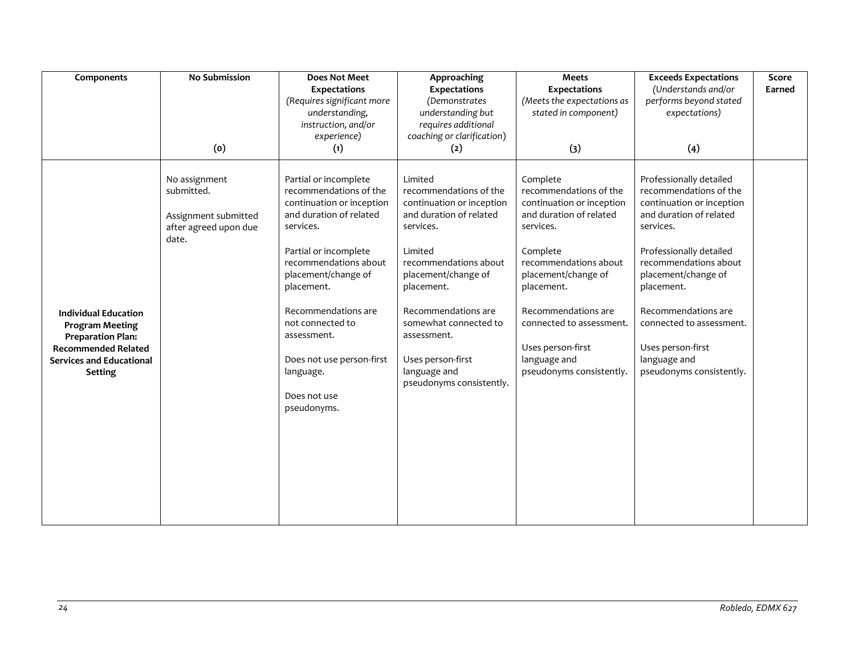| Components                                                                                                                                                           | <b>No Submission</b>                                                                  | <b>Does Not Meet</b><br><b>Expectations</b><br>(Requires significant more<br>understanding.<br>instruction, and/or<br>experience)                                                                                                                                                                                                              | Approaching<br><b>Expectations</b><br>(Demonstrates)<br>understanding but<br>requires additional<br>coaching or clarification)                                                                                                                                                                                  | <b>Meets</b><br><b>Expectations</b><br>(Meets the expectations as<br>stated in component)                                                                                                                                                                                                             | <b>Exceeds Expectations</b><br>(Understands and/or<br>performs beyond stated<br>expectations)                                                                                                                                                                                                                                       | Score<br>Earned |
|----------------------------------------------------------------------------------------------------------------------------------------------------------------------|---------------------------------------------------------------------------------------|------------------------------------------------------------------------------------------------------------------------------------------------------------------------------------------------------------------------------------------------------------------------------------------------------------------------------------------------|-----------------------------------------------------------------------------------------------------------------------------------------------------------------------------------------------------------------------------------------------------------------------------------------------------------------|-------------------------------------------------------------------------------------------------------------------------------------------------------------------------------------------------------------------------------------------------------------------------------------------------------|-------------------------------------------------------------------------------------------------------------------------------------------------------------------------------------------------------------------------------------------------------------------------------------------------------------------------------------|-----------------|
|                                                                                                                                                                      | (0)                                                                                   | (1)                                                                                                                                                                                                                                                                                                                                            | (2)                                                                                                                                                                                                                                                                                                             | (3)                                                                                                                                                                                                                                                                                                   | (4)                                                                                                                                                                                                                                                                                                                                 |                 |
| <b>Individual Education</b><br><b>Program Meeting</b><br><b>Preparation Plan:</b><br><b>Recommended Related</b><br><b>Services and Educational</b><br><b>Setting</b> | No assignment<br>submitted.<br>Assignment submitted<br>after agreed upon due<br>date. | Partial or incomplete<br>recommendations of the<br>continuation or inception<br>and duration of related<br>services.<br>Partial or incomplete<br>recommendations about<br>placement/change of<br>placement.<br>Recommendations are<br>not connected to<br>assessment.<br>Does not use person-first<br>language.<br>Does not use<br>pseudonyms. | Limited<br>recommendations of the<br>continuation or inception<br>and duration of related<br>services.<br>Limited<br>recommendations about<br>placement/change of<br>placement.<br>Recommendations are<br>somewhat connected to<br>assessment.<br>Uses person-first<br>language and<br>pseudonyms consistently. | Complete<br>recommendations of the<br>continuation or inception<br>and duration of related<br>services.<br>Complete<br>recommendations about<br>placement/change of<br>placement.<br>Recommendations are<br>connected to assessment.<br>Uses person-first<br>language and<br>pseudonyms consistently. | Professionally detailed<br>recommendations of the<br>continuation or inception<br>and duration of related<br>services.<br>Professionally detailed<br>recommendations about<br>placement/change of<br>placement.<br>Recommendations are<br>connected to assessment.<br>Uses person-first<br>language and<br>pseudonyms consistently. |                 |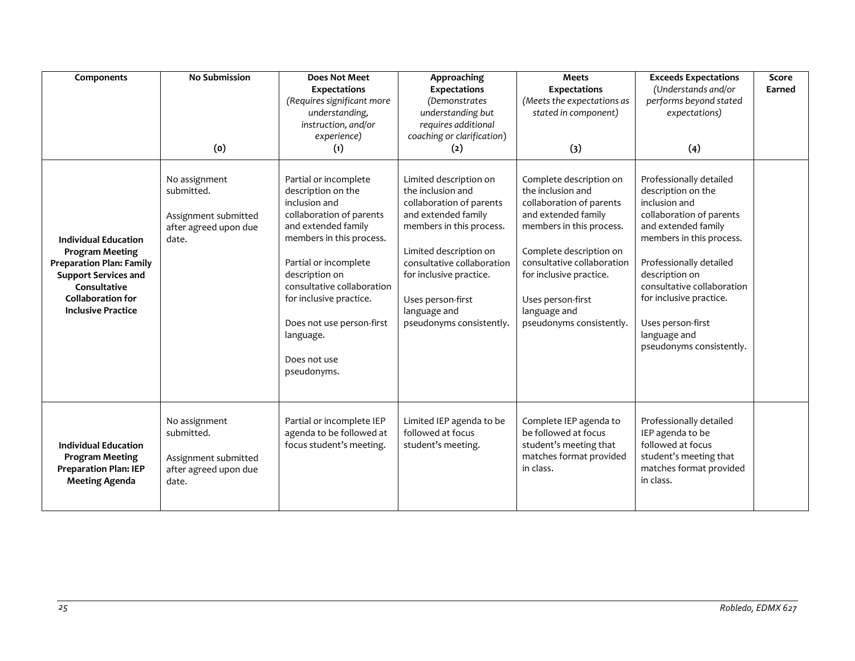| Components                                                                                                                                                                                       | <b>No Submission</b><br>(0)                                                           | <b>Does Not Meet</b><br><b>Expectations</b><br>(Requires significant more<br>understanding,<br>instruction, and/or<br>experience)<br>(1)                                                                                                                                                                                 | Approaching<br><b>Expectations</b><br>(Demonstrates<br>understanding but<br>requires additional<br>coaching or clarification)<br>(2)                                                                                                                                           | <b>Meets</b><br><b>Expectations</b><br>(Meets the expectations as<br>stated in component)<br>(3)                                                                                                                                                                                 | <b>Exceeds Expectations</b><br>(Understands and/or<br>performs beyond stated<br>expectations)<br>(4)                                                                                                                                                                                                                 | Score<br>Earned |
|--------------------------------------------------------------------------------------------------------------------------------------------------------------------------------------------------|---------------------------------------------------------------------------------------|--------------------------------------------------------------------------------------------------------------------------------------------------------------------------------------------------------------------------------------------------------------------------------------------------------------------------|--------------------------------------------------------------------------------------------------------------------------------------------------------------------------------------------------------------------------------------------------------------------------------|----------------------------------------------------------------------------------------------------------------------------------------------------------------------------------------------------------------------------------------------------------------------------------|----------------------------------------------------------------------------------------------------------------------------------------------------------------------------------------------------------------------------------------------------------------------------------------------------------------------|-----------------|
| <b>Individual Education</b><br><b>Program Meeting</b><br><b>Preparation Plan: Family</b><br><b>Support Services and</b><br>Consultative<br><b>Collaboration for</b><br><b>Inclusive Practice</b> | No assignment<br>submitted.<br>Assignment submitted<br>after agreed upon due<br>date. | Partial or incomplete<br>description on the<br>inclusion and<br>collaboration of parents<br>and extended family<br>members in this process.<br>Partial or incomplete<br>description on<br>consultative collaboration<br>for inclusive practice.<br>Does not use person-first<br>language.<br>Does not use<br>pseudonyms. | Limited description on<br>the inclusion and<br>collaboration of parents<br>and extended family<br>members in this process.<br>Limited description on<br>consultative collaboration<br>for inclusive practice.<br>Uses person-first<br>language and<br>pseudonyms consistently. | Complete description on<br>the inclusion and<br>collaboration of parents<br>and extended family<br>members in this process.<br>Complete description on<br>consultative collaboration<br>for inclusive practice.<br>Uses person-first<br>language and<br>pseudonyms consistently. | Professionally detailed<br>description on the<br>inclusion and<br>collaboration of parents<br>and extended family<br>members in this process.<br>Professionally detailed<br>description on<br>consultative collaboration<br>for inclusive practice.<br>Uses person-first<br>language and<br>pseudonyms consistently. |                 |
| <b>Individual Education</b><br><b>Program Meeting</b><br><b>Preparation Plan: IEP</b><br><b>Meeting Agenda</b>                                                                                   | No assignment<br>submitted.<br>Assignment submitted<br>after agreed upon due<br>date. | Partial or incomplete IEP<br>agenda to be followed at<br>focus student's meeting.                                                                                                                                                                                                                                        | Limited IEP agenda to be<br>followed at focus<br>student's meeting.                                                                                                                                                                                                            | Complete IEP agenda to<br>be followed at focus<br>student's meeting that<br>matches format provided<br>in class.                                                                                                                                                                 | Professionally detailed<br>IEP agenda to be<br>followed at focus<br>student's meeting that<br>matches format provided<br>in class.                                                                                                                                                                                   |                 |